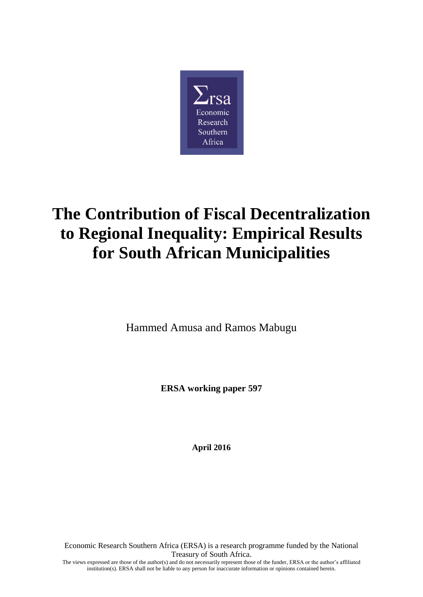

# **The Contribution of Fiscal Decentralization to Regional Inequality: Empirical Results for South African Municipalities**

Hammed Amusa and Ramos Mabugu

**ERSA working paper 597**

**April 2016**

Economic Research Southern Africa (ERSA) is a research programme funded by the National Treasury of South Africa. The views expressed are those of the author(s) and do not necessarily represent those of the funder, ERSA or the author's affiliated institution(s). ERSA shall not be liable to any person for inaccurate information or opinions contained herein.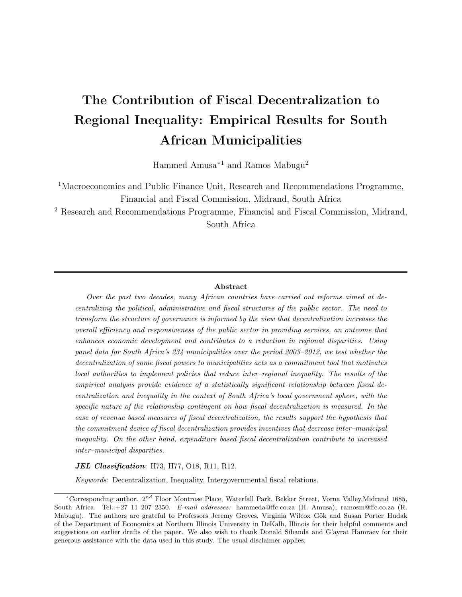## The Contribution of Fiscal Decentralization to Regional Inequality: Empirical Results for South African Municipalities

Hammed Amusa<sup>∗</sup><sup>1</sup> and Ramos Mabugu<sup>2</sup>

<sup>1</sup>Macroeconomics and Public Finance Unit, Research and Recommendations Programme, Financial and Fiscal Commission, Midrand, South Africa

<sup>2</sup> Research and Recommendations Programme, Financial and Fiscal Commission, Midrand, South Africa

#### Abstract

Over the past two decades, many African countries have carried out reforms aimed at decentralizing the political, administrative and fiscal structures of the public sector. The need to transform the structure of governance is informed by the view that decentralization increases the overall efficiency and responsiveness of the public sector in providing services, an outcome that enhances economic development and contributes to a reduction in regional disparities. Using panel data for South Africa's 234 municipalities over the period 2003–2012, we test whether the decentralization of some fiscal powers to municipalities acts as a commitment tool that motivates local authorities to implement policies that reduce inter–regional inequality. The results of the empirical analysis provide evidence of a statistically significant relationship between fiscal decentralization and inequality in the context of South Africa's local government sphere, with the specific nature of the relationship contingent on how fiscal decentralization is measured. In the case of revenue based measures of fiscal decentralization, the results support the hypothesis that the commitment device of fiscal decentralization provides incentives that decrease inter–municipal inequality. On the other hand, expenditure based fiscal decentralization contribute to increased inter–municipal disparities.

#### JEL Classification: H73, H77, O18, R11, R12.

Keywords: Decentralization, Inequality, Intergovernmental fiscal relations.

<sup>\*</sup>Corresponding author. 2<sup>nd</sup> Floor Montrose Place, Waterfall Park, Bekker Street, Vorna Valley,Midrand 1685, South Africa. Tel.:+27 11 207 2350. E-mail addresses: hammeda@ffc.co.za (H. Amusa); ramosm@ffc.co.za (R. Mabugu). The authors are grateful to Professors Jeremy Groves, Virginia Wilcox–Gök and Susan Porter–Hudak of the Department of Economics at Northern Illinois University in DeKalb, Illinois for their helpful comments and suggestions on earlier drafts of the paper. We also wish to thank Donald Sibanda and G'ayrat Hamraev for their generous assistance with the data used in this study. The usual disclaimer applies.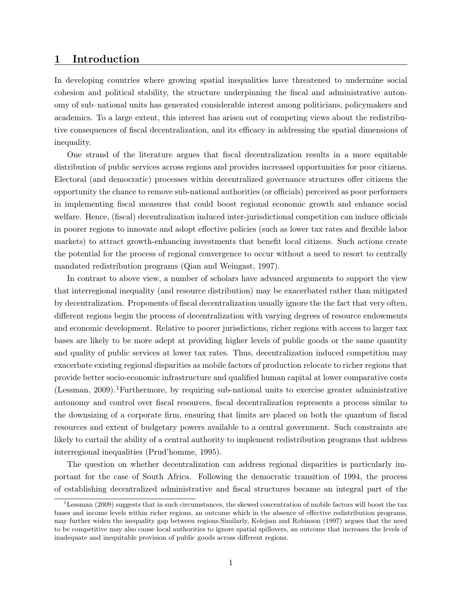#### 1 Introduction

In developing countries where growing spatial inequalities have threatened to undermine social cohesion and political stability, the structure underpinning the fiscal and administrative autonomy of sub–national units has generated considerable interest among politicians, policymakers and academics. To a large extent, this interest has arisen out of competing views about the redistributive consequences of fiscal decentralization, and its efficacy in addressing the spatial dimensions of inequality.

One strand of the literature argues that fiscal decentralization results in a more equitable distribution of public services across regions and provides increased opportunities for poor citizens. Electoral (and democratic) processes within decentralized governance structures offer citizens the opportunity the chance to remove sub-national authorities (or officials) perceived as poor performers in implementing fiscal measures that could boost regional economic growth and enhance social welfare. Hence, (fiscal) decentralization induced inter-jurisdictional competition can induce officials in poorer regions to innovate and adopt effective policies (such as lower tax rates and flexible labor markets) to attract growth-enhancing investments that benefit local citizens. Such actions create the potential for the process of regional convergence to occur without a need to resort to centrally mandated redistribution programs (Qian and Weingast, 1997).

In contrast to above view, a number of scholars have advanced arguments to support the view that interregional inequality (and resource distribution) may be exacerbated rather than mitigated by decentralization. Proponents of fiscal decentralization usually ignore the the fact that very often, different regions begin the process of decentralization with varying degrees of resource endowments and economic development. Relative to poorer jurisdictions, richer regions with access to larger tax bases are likely to be more adept at providing higher levels of public goods or the same quantity and quality of public services at lower tax rates. Thus, decentralization induced competition may exacerbate existing regional disparities as mobile factors of production relocate to richer regions that provide better socio-economic infrastructure and qualified human capital at lower comparative costs (Lessman, 2009).<sup>1</sup>Furthermore, by requiring sub-national units to exercise greater administrative autonomy and control over fiscal resources, fiscal decentralization represents a process similar to the downsizing of a corporate firm, ensuring that limits are placed on both the quantum of fiscal resources and extent of budgetary powers available to a central government. Such constraints are likely to curtail the ability of a central authority to implement redistribution programs that address interregional inequalities (Prud'homme, 1995).

The question on whether decentralization can address regional disparities is particularly important for the case of South Africa. Following the democratic transition of 1994, the process of establishing decentralized administrative and fiscal structures became an integral part of the

<sup>&</sup>lt;sup>1</sup>Lessman (2009) suggests that in such circumstances, the skewed concentration of mobile factors will boost the tax bases and income levels within richer regions, an outcome which in the absence of effective redistribution programs, may further widen the inequality gap between regions.Similarly, Kelejian and Robinson (1997) argues that the need to be competitive may also cause local authorities to ignore spatial spillovers, an outcome that increases the levels of inadequate and inequitable provision of public goods across different regions.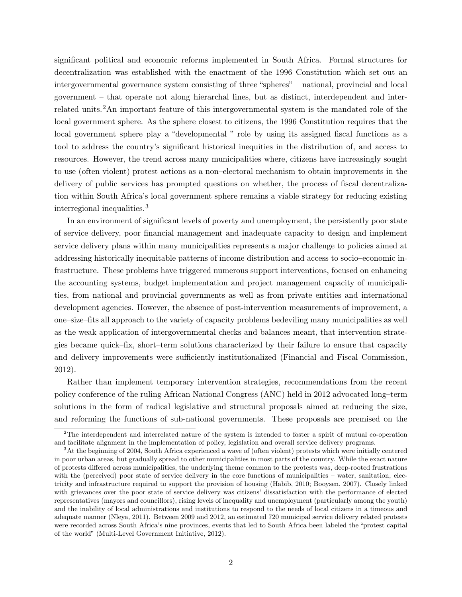significant political and economic reforms implemented in South Africa. Formal structures for decentralization was established with the enactment of the 1996 Constitution which set out an intergovernmental governance system consisting of three "spheres" – national, provincial and local government – that operate not along hierarchal lines, but as distinct, interdependent and interrelated units.2An important feature of this intergovernmental system is the mandated role of the local government sphere. As the sphere closest to citizens, the 1996 Constitution requires that the local government sphere play a "developmental " role by using its assigned fiscal functions as a tool to address the country's significant historical inequities in the distribution of, and access to resources. However, the trend across many municipalities where, citizens have increasingly sought to use (often violent) protest actions as a non–electoral mechanism to obtain improvements in the delivery of public services has prompted questions on whether, the process of fiscal decentralization within South Africa's local government sphere remains a viable strategy for reducing existing interregional inequalities.<sup>3</sup>

In an environment of significant levels of poverty and unemployment, the persistently poor state of service delivery, poor financial management and inadequate capacity to design and implement service delivery plans within many municipalities represents a major challenge to policies aimed at addressing historically inequitable patterns of income distribution and access to socio–economic infrastructure. These problems have triggered numerous support interventions, focused on enhancing the accounting systems, budget implementation and project management capacity of municipalities, from national and provincial governments as well as from private entities and international development agencies. However, the absence of post-intervention measurements of improvement, a one–size–fits all approach to the variety of capacity problems bedeviling many municipalities as well as the weak application of intergovernmental checks and balances meant, that intervention strategies became quick–fix, short–term solutions characterized by their failure to ensure that capacity and delivery improvements were sufficiently institutionalized (Financial and Fiscal Commission, 2012).

Rather than implement temporary intervention strategies, recommendations from the recent policy conference of the ruling African National Congress (ANC) held in 2012 advocated long–term solutions in the form of radical legislative and structural proposals aimed at reducing the size, and reforming the functions of sub-national governments. These proposals are premised on the

<sup>&</sup>lt;sup>2</sup>The interdependent and interrelated nature of the system is intended to foster a spirit of mutual co-operation and facilitate alignment in the implementation of policy, legislation and overall service delivery programs.

<sup>3</sup>At the beginning of 2004, South Africa experienced a wave of (often violent) protests which were initially centered in poor urban areas, but gradually spread to other municipalities in most parts of the country. While the exact nature of protests differed across municipalities, the underlying theme common to the protests was, deep-rooted frustrations with the (perceived) poor state of service delivery in the core functions of municipalities – water, sanitation, electricity and infrastructure required to support the provision of housing (Habib, 2010; Booysen, 2007). Closely linked with grievances over the poor state of service delivery was citizens' dissatisfaction with the performance of elected representatives (mayors and councillors), rising levels of inequality and unemployment (particularly among the youth) and the inability of local administrations and institutions to respond to the needs of local citizens in a timeous and adequate manner (Nleya, 2011). Between 2009 and 2012, an estimated 720 municipal service delivery related protests were recorded across South Africa's nine provinces, events that led to South Africa been labeled the "protest capital of the world" (Multi-Level Government Initiative, 2012).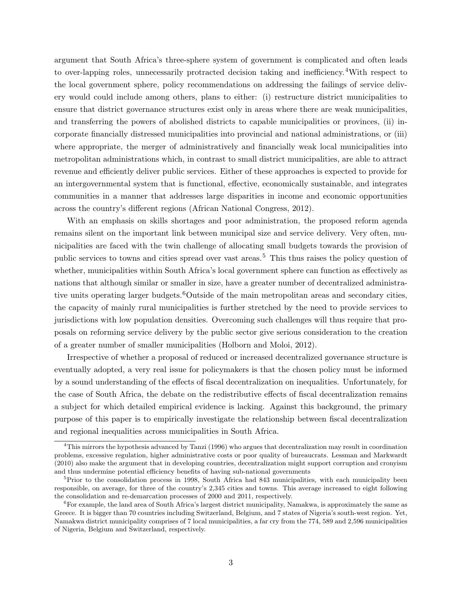argument that South Africa's three-sphere system of government is complicated and often leads to over-lapping roles, unnecessarily protracted decision taking and inefficiency. <sup>4</sup>With respect to the local government sphere, policy recommendations on addressing the failings of service delivery would could include among others, plans to either: (i) restructure district municipalities to ensure that district governance structures exist only in areas where there are weak municipalities, and transferring the powers of abolished districts to capable municipalities or provinces, (ii) incorporate financially distressed municipalities into provincial and national administrations, or (iii) where appropriate, the merger of administratively and financially weak local municipalities into metropolitan administrations which, in contrast to small district municipalities, are able to attract revenue and efficiently deliver public services. Either of these approaches is expected to provide for an intergovernmental system that is functional, effective, economically sustainable, and integrates communities in a manner that addresses large disparities in income and economic opportunities across the country's different regions (African National Congress, 2012).

With an emphasis on skills shortages and poor administration, the proposed reform agenda remains silent on the important link between municipal size and service delivery. Very often, municipalities are faced with the twin challenge of allocating small budgets towards the provision of public services to towns and cities spread over vast areas.<sup>5</sup> This thus raises the policy question of whether, municipalities within South Africa's local government sphere can function as effectively as nations that although similar or smaller in size, have a greater number of decentralized administrative units operating larger budgets.<sup>6</sup>Outside of the main metropolitan areas and secondary cities, the capacity of mainly rural municipalities is further stretched by the need to provide services to jurisdictions with low population densities. Overcoming such challenges will thus require that proposals on reforming service delivery by the public sector give serious consideration to the creation of a greater number of smaller municipalities (Holborn and Moloi, 2012).

Irrespective of whether a proposal of reduced or increased decentralized governance structure is eventually adopted, a very real issue for policymakers is that the chosen policy must be informed by a sound understanding of the effects of fiscal decentralization on inequalities. Unfortunately, for the case of South Africa, the debate on the redistributive effects of fiscal decentralization remains a subject for which detailed empirical evidence is lacking. Against this background, the primary purpose of this paper is to empirically investigate the relationship between fiscal decentralization and regional inequalities across municipalities in South Africa.

<sup>4</sup>This mirrors the hypothesis advanced by Tanzi (1996) who argues that decentralization may result in coordination problems, excessive regulation, higher administrative costs or poor quality of bureaucrats. Lessman and Markwardt (2010) also make the argument that in developing countries, decentralization might support corruption and cronyism and thus undermine potential efficiency benefits of having sub-national governments

<sup>&</sup>lt;sup>5</sup>Prior to the consolidation process in 1998, South Africa had 843 municipalities, with each municipality been responsible, on average, for three of the country's 2,345 cities and towns. This average increased to eight following the consolidation and re-demarcation processes of 2000 and 2011, respectively.

 ${}^{6}$ For example, the land area of South Africa's largest district municipality, Namakwa, is approximately the same as Greece. It is bigger than 70 countries including Switzerland, Belgium, and 7 states of Nigeria's south-west region. Yet, Namakwa district municipality comprises of 7 local municipalities, a far cry from the 774, 589 and 2,596 municipalities of Nigeria, Belgium and Switzerland, respectively.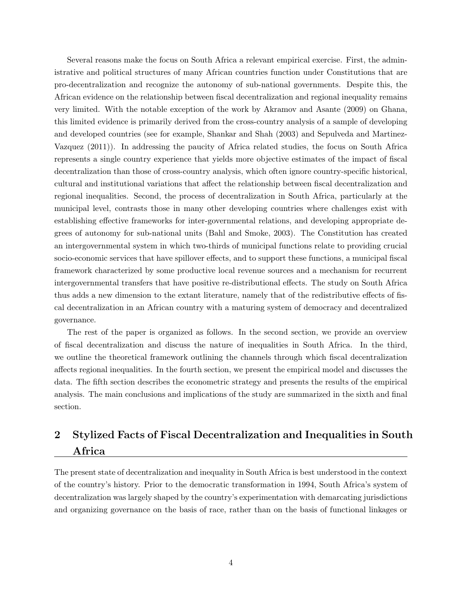Several reasons make the focus on South Africa a relevant empirical exercise. First, the administrative and political structures of many African countries function under Constitutions that are pro-decentralization and recognize the autonomy of sub-national governments. Despite this, the African evidence on the relationship between fiscal decentralization and regional inequality remains very limited. With the notable exception of the work by Akramov and Asante (2009) on Ghana, this limited evidence is primarily derived from the cross-country analysis of a sample of developing and developed countries (see for example, Shankar and Shah (2003) and Sepulveda and Martinez-Vazquez (2011)). In addressing the paucity of Africa related studies, the focus on South Africa represents a single country experience that yields more objective estimates of the impact of fiscal decentralization than those of cross-country analysis, which often ignore country-specific historical, cultural and institutional variations that affect the relationship between fiscal decentralization and regional inequalities. Second, the process of decentralization in South Africa, particularly at the municipal level, contrasts those in many other developing countries where challenges exist with establishing effective frameworks for inter-governmental relations, and developing appropriate degrees of autonomy for sub-national units (Bahl and Smoke, 2003). The Constitution has created an intergovernmental system in which two-thirds of municipal functions relate to providing crucial socio-economic services that have spillover effects, and to support these functions, a municipal fiscal framework characterized by some productive local revenue sources and a mechanism for recurrent intergovernmental transfers that have positive re-distributional effects. The study on South Africa thus adds a new dimension to the extant literature, namely that of the redistributive effects of fiscal decentralization in an African country with a maturing system of democracy and decentralized governance.

The rest of the paper is organized as follows. In the second section, we provide an overview of fiscal decentralization and discuss the nature of inequalities in South Africa. In the third, we outline the theoretical framework outlining the channels through which fiscal decentralization affects regional inequalities. In the fourth section, we present the empirical model and discusses the data. The fifth section describes the econometric strategy and presents the results of the empirical analysis. The main conclusions and implications of the study are summarized in the sixth and final section.

### 2 Stylized Facts of Fiscal Decentralization and Inequalities in South Africa

The present state of decentralization and inequality in South Africa is best understood in the context of the country's history. Prior to the democratic transformation in 1994, South Africa's system of decentralization was largely shaped by the country's experimentation with demarcating jurisdictions and organizing governance on the basis of race, rather than on the basis of functional linkages or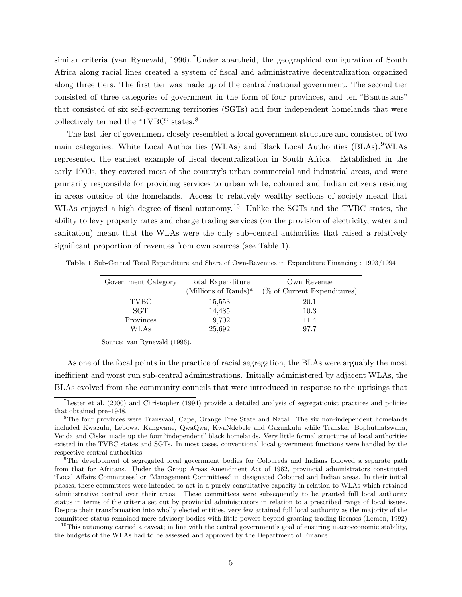similar criteria (van Rynevald, 1996).<sup>7</sup>Under apartheid, the geographical configuration of South Africa along racial lines created a system of fiscal and administrative decentralization organized along three tiers. The first tier was made up of the central/national government. The second tier consisted of three categories of government in the form of four provinces, and ten "Bantustans" that consisted of six self-governing territories (SGTs) and four independent homelands that were collectively termed the "TVBC" states.<sup>8</sup>

The last tier of government closely resembled a local government structure and consisted of two main categories: White Local Authorities (WLAs) and Black Local Authorities (BLAs). <sup>9</sup>WLAs represented the earliest example of fiscal decentralization in South Africa. Established in the early 1900s, they covered most of the country's urban commercial and industrial areas, and were primarily responsible for providing services to urban white, coloured and Indian citizens residing in areas outside of the homelands. Access to relatively wealthy sections of society meant that WLAs enjoyed a high degree of fiscal autonomy.<sup>10</sup> Unlike the SGTs and the TVBC states, the ability to levy property rates and charge trading services (on the provision of electricity, water and sanitation) meant that the WLAs were the only sub–central authorities that raised a relatively significant proportion of revenues from own sources (see Table 1).

| Government Category | Total Expenditure<br>(Millions of Rands) <sup><i>a</i></sup> | Own Revenue<br>$(\%$ of Current Expenditures) |
|---------------------|--------------------------------------------------------------|-----------------------------------------------|
| <b>TVBC</b>         | 15,553                                                       | 20.1                                          |
| <b>SGT</b>          | 14,485                                                       | 10.3                                          |
| Provinces           | 19,702                                                       | 11.4                                          |
| WLAs                | 25,692                                                       | 97.7                                          |

Table 1 Sub-Central Total Expenditure and Share of Own-Revenues in Expenditure Financing : 1993/1994

Source: van Rynevald (1996).

As one of the focal points in the practice of racial segregation, the BLAs were arguably the most inefficient and worst run sub-central administrations. Initially administered by adjacent WLAs, the BLAs evolved from the community councils that were introduced in response to the uprisings that

<sup>&</sup>lt;sup>7</sup>Lester et al. (2000) and Christopher (1994) provide a detailed analysis of segregationist practices and policies that obtained pre–1948.

<sup>8</sup>The four provinces were Transvaal, Cape, Orange Free State and Natal. The six non-independent homelands included Kwazulu, Lebowa, Kangwane, QwaQwa, KwaNdebele and Gazunkulu while Transkei, Bophuthatswana, Venda and Ciskei made up the four "independent" black homelands. Very little formal structures of local authorities existed in the TVBC states and SGTs. In most cases, conventional local government functions were handled by the respective central authorities.

<sup>9</sup>The development of segregated local government bodies for Coloureds and Indians followed a separate path from that for Africans. Under the Group Areas Amendment Act of 1962, provincial administrators constituted "Local Affairs Committees" or "Management Committees" in designated Coloured and Indian areas. In their initial phases, these committees were intended to act in a purely consultative capacity in relation to WLAs which retained administrative control over their areas. These committees were subsequently to be granted full local authority status in terms of the criteria set out by provincial administrators in relation to a prescribed range of local issues. Despite their transformation into wholly elected entities, very few attained full local authority as the majority of the committees status remained mere advisory bodies with little powers beyond granting trading licenses (Lemon, 1992)

 $10$ This autonomy carried a caveat; in line with the central government's goal of ensuring macroeconomic stability, the budgets of the WLAs had to be assessed and approved by the Department of Finance.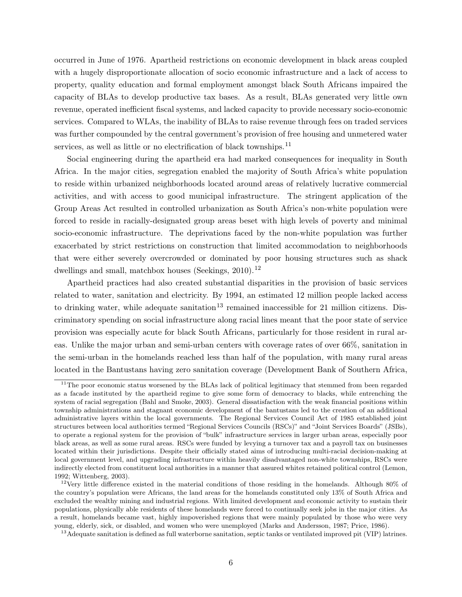occurred in June of 1976. Apartheid restrictions on economic development in black areas coupled with a hugely disproportionate allocation of socio economic infrastructure and a lack of access to property, quality education and formal employment amongst black South Africans impaired the capacity of BLAs to develop productive tax bases. As a result, BLAs generated very little own revenue, operated inefficient fiscal systems, and lacked capacity to provide necessary socio-economic services. Compared to WLAs, the inability of BLAs to raise revenue through fees on traded services was further compounded by the central government's provision of free housing and unmetered water services, as well as little or no electrification of black townships.<sup>11</sup>

Social engineering during the apartheid era had marked consequences for inequality in South Africa. In the major cities, segregation enabled the majority of South Africa's white population to reside within urbanized neighborhoods located around areas of relatively lucrative commercial activities, and with access to good municipal infrastructure. The stringent application of the Group Areas Act resulted in controlled urbanization as South Africa's non-white population were forced to reside in racially-designated group areas beset with high levels of poverty and minimal socio-economic infrastructure. The deprivations faced by the non-white population was further exacerbated by strict restrictions on construction that limited accommodation to neighborhoods that were either severely overcrowded or dominated by poor housing structures such as shack dwellings and small, matchbox houses (Seekings, 2010).<sup>12</sup>

Apartheid practices had also created substantial disparities in the provision of basic services related to water, sanitation and electricity. By 1994, an estimated 12 million people lacked access to drinking water, while adequate sanitation<sup>13</sup> remained inaccessible for 21 million citizens. Discriminatory spending on social infrastructure along racial lines meant that the poor state of service provision was especially acute for black South Africans, particularly for those resident in rural areas. Unlike the major urban and semi-urban centers with coverage rates of over 66%, sanitation in the semi-urban in the homelands reached less than half of the population, with many rural areas located in the Bantustans having zero sanitation coverage (Development Bank of Southern Africa,

<sup>&</sup>lt;sup>11</sup>The poor economic status worsened by the BLAs lack of political legitimacy that stemmed from been regarded as a facade instituted by the apartheid regime to give some form of democracy to blacks, while entrenching the system of racial segregation (Bahl and Smoke, 2003). General dissatisfaction with the weak financial positions within township administrations and stagnant economic development of the bantustans led to the creation of an additional administrative layers within the local governments. The Regional Services Council Act of 1985 established joint structures between local authorities termed "Regional Services Councils (RSCs)" and "Joint Services Boards" (JSBs), to operate a regional system for the provision of "bulk" infrastructure services in larger urban areas, especially poor black areas, as well as some rural areas. RSCs were funded by levying a turnover tax and a payroll tax on businesses located within their jurisdictions. Despite their officially stated aims of introducing multi-racial decision-making at local government level, and upgrading infrastructure within heavily disadvantaged non-white townships, RSCs were indirectly elected from constituent local authorities in a manner that assured whites retained political control (Lemon, 1992; Wittenberg, 2003).

<sup>12</sup>Very little difference existed in the material conditions of those residing in the homelands. Although 80% of the country's population were Africans, the land areas for the homelands constituted only 13% of South Africa and excluded the wealthy mining and industrial regions. With limited development and economic activity to sustain their populations, physically able residents of these homelands were forced to continually seek jobs in the major cities. As a result, homelands became vast, highly impoverished regions that were mainly populated by those who were very young, elderly, sick, or disabled, and women who were unemployed (Marks and Andersson, 1987; Price, 1986).

 $13$  Adequate sanitation is defined as full waterborne sanitation, septic tanks or ventilated improved pit (VIP) latrines.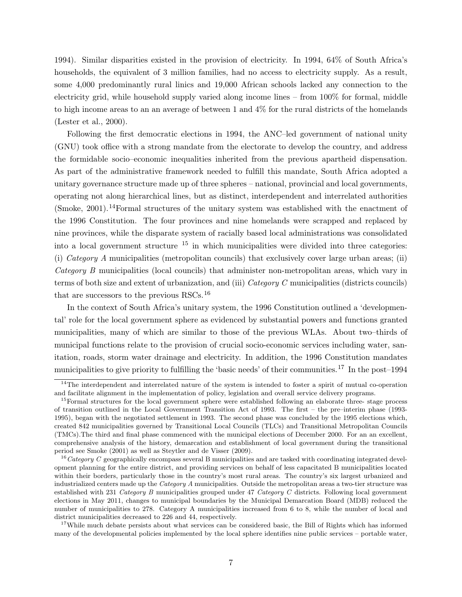1994). Similar disparities existed in the provision of electricity. In 1994, 64% of South Africa's households, the equivalent of 3 million families, had no access to electricity supply. As a result, some 4,000 predominantly rural linics and 19,000 African schools lacked any connection to the electricity grid, while household supply varied along income lines – from 100% for formal, middle to high income areas to an an average of between 1 and 4% for the rural districts of the homelands (Lester et al., 2000).

Following the first democratic elections in 1994, the ANC–led government of national unity (GNU) took office with a strong mandate from the electorate to develop the country, and address the formidable socio–economic inequalities inherited from the previous apartheid dispensation. As part of the administrative framework needed to fulfill this mandate, South Africa adopted a unitary governance structure made up of three spheres – national, provincial and local governments, operating not along hierarchical lines, but as distinct, interdependent and interrelated authorities (Smoke, 2001).<sup>14</sup>Formal structures of the unitary system was established with the enactment of the 1996 Constitution. The four provinces and nine homelands were scrapped and replaced by nine provinces, while the disparate system of racially based local administrations was consolidated into a local government structure  $15$  in which municipalities were divided into three categories: (i) Category A municipalities (metropolitan councils) that exclusively cover large urban areas; (ii) Category B municipalities (local councils) that administer non-metropolitan areas, which vary in terms of both size and extent of urbanization, and (iii) Category C municipalities (districts councils) that are successors to the previous RSCs.<sup>16</sup>

In the context of South Africa's unitary system, the 1996 Constitution outlined a 'developmental' role for the local government sphere as evidenced by substantial powers and functions granted municipalities, many of which are similar to those of the previous WLAs. About two–thirds of municipal functions relate to the provision of crucial socio-economic services including water, sanitation, roads, storm water drainage and electricity. In addition, the 1996 Constitution mandates municipalities to give priority to fulfilling the 'basic needs' of their communities.<sup>17</sup> In the post–1994

 $14$ The interdependent and interrelated nature of the system is intended to foster a spirit of mutual co-operation and facilitate alignment in the implementation of policy, legislation and overall service delivery programs.

<sup>&</sup>lt;sup>15</sup>Formal structures for the local government sphere were established following an elaborate three- stage process of transition outlined in the Local Government Transition Act of 1993. The first – the pre–interim phase (1993- 1995), began with the negotiated settlement in 1993. The second phase was concluded by the 1995 elections which, created 842 municipalities governed by Transitional Local Councils (TLCs) and Transitional Metropolitan Councils (TMCs).The third and final phase commenced with the municipal elections of December 2000. For an an excellent, comprehensive analysis of the history, demarcation and establishment of local government during the transitional period see Smoke (2001) as well as Steytler and de Visser (2009).

 $16$ Category C geographically encompass several B municipalities and are tasked with coordinating integrated development planning for the entire district, and providing services on behalf of less capacitated B municipalities located within their borders, particularly those in the country's most rural areas. The country's six largest urbanized and industrialized centers made up the Category A municipalities. Outside the metropolitan areas a two-tier structure was established with 231 Category B municipalities grouped under 47 Category C districts. Following local government elections in May 2011, changes to municipal boundaries by the Municipal Demarcation Board (MDB) reduced the number of municipalities to 278. Category A municipalities increased from 6 to 8, while the number of local and district municipalities decreased to 226 and 44, respectively.

<sup>&</sup>lt;sup>17</sup>While much debate persists about what services can be considered basic, the Bill of Rights which has informed many of the developmental policies implemented by the local sphere identifies nine public services – portable water,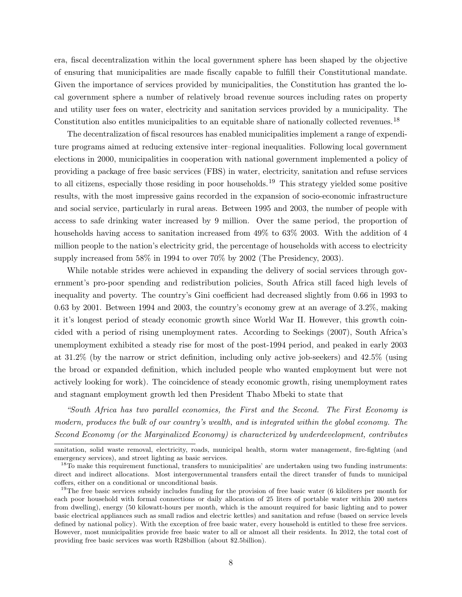era, fiscal decentralization within the local government sphere has been shaped by the objective of ensuring that municipalities are made fiscally capable to fulfill their Constitutional mandate. Given the importance of services provided by municipalities, the Constitution has granted the local government sphere a number of relatively broad revenue sources including rates on property and utility user fees on water, electricity and sanitation services provided by a municipality. The Constitution also entitles municipalities to an equitable share of nationally collected revenues. <sup>18</sup>

The decentralization of fiscal resources has enabled municipalities implement a range of expenditure programs aimed at reducing extensive inter–regional inequalities. Following local government elections in 2000, municipalities in cooperation with national government implemented a policy of providing a package of free basic services (FBS) in water, electricity, sanitation and refuse services to all citizens, especially those residing in poor households.<sup>19</sup> This strategy yielded some positive results, with the most impressive gains recorded in the expansion of socio-economic infrastructure and social service, particularly in rural areas. Between 1995 and 2003, the number of people with access to safe drinking water increased by 9 million. Over the same period, the proportion of households having access to sanitation increased from  $49\%$  to  $63\%$  2003. With the addition of 4 million people to the nation's electricity grid, the percentage of households with access to electricity supply increased from 58% in 1994 to over 70% by 2002 (The Presidency, 2003).

While notable strides were achieved in expanding the delivery of social services through government's pro-poor spending and redistribution policies, South Africa still faced high levels of inequality and poverty. The country's Gini coefficient had decreased slightly from 0.66 in 1993 to 0.63 by 2001. Between 1994 and 2003, the country's economy grew at an average of 3.2%, making it it's longest period of steady economic growth since World War II. However, this growth coincided with a period of rising unemployment rates. According to Seekings (2007), South Africa's unemployment exhibited a steady rise for most of the post-1994 period, and peaked in early 2003 at 31.2% (by the narrow or strict definition, including only active job-seekers) and 42.5% (using the broad or expanded definition, which included people who wanted employment but were not actively looking for work). The coincidence of steady economic growth, rising unemployment rates and stagnant employment growth led then President Thabo Mbeki to state that

"South Africa has two parallel economies, the First and the Second. The First Economy is modern, produces the bulk of our country's wealth, and is integrated within the global economy. The Second Economy (or the Marginalized Economy) is characterized by underdevelopment, contributes

sanitation, solid waste removal, electricity, roads, municipal health, storm water management, fire-fighting (and emergency services), and street lighting as basic services.

<sup>&</sup>lt;sup>18</sup>To make this requirement functional, transfers to municipalities' are undertaken using two funding instruments: direct and indirect allocations. Most intergovernmental transfers entail the direct transfer of funds to municipal coffers, either on a conditional or unconditional basis.

 $19$ The free basic services subsidy includes funding for the provision of free basic water (6 kiloliters per month for each poor household with formal connections or daily allocation of 25 liters of portable water within 200 meters from dwelling), energy (50 kilowatt-hours per month, which is the amount required for basic lighting and to power basic electrical appliances such as small radios and electric kettles) and sanitation and refuse (based on service levels defined by national policy). With the exception of free basic water, every household is entitled to these free services. However, most municipalities provide free basic water to all or almost all their residents. In 2012, the total cost of providing free basic services was worth R28billion (about \$2.5billion).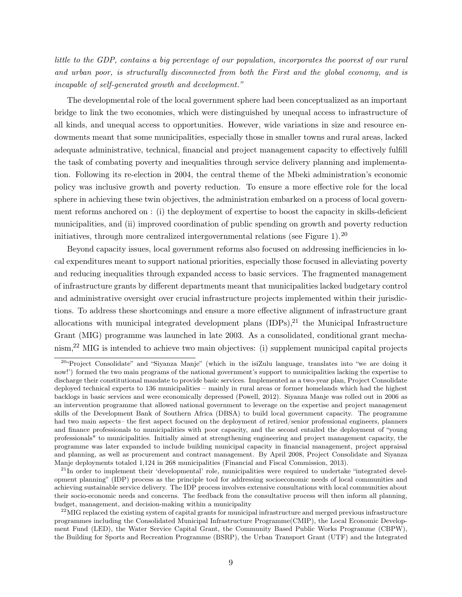little to the GDP, contains a big percentage of our population, incorporates the poorest of our rural and urban poor, is structurally disconnected from both the First and the global economy, and is incapable of self-generated growth and development."

The developmental role of the local government sphere had been conceptualized as an important bridge to link the two economies, which were distinguished by unequal access to infrastructure of all kinds, and unequal access to opportunities. However, wide variations in size and resource endowments meant that some municipalities, especially those in smaller towns and rural areas, lacked adequate administrative, technical, financial and project management capacity to effectively fulfill the task of combating poverty and inequalities through service delivery planning and implementation. Following its re-election in 2004, the central theme of the Mbeki administration's economic policy was inclusive growth and poverty reduction. To ensure a more effective role for the local sphere in achieving these twin objectives, the administration embarked on a process of local government reforms anchored on : (i) the deployment of expertise to boost the capacity in skills-deficient municipalities, and (ii) improved coordination of public spending on growth and poverty reduction initiatives, through more centralized intergovernmental relations (see Figure 1).  $^{20}$ 

Beyond capacity issues, local government reforms also focused on addressing inefficiencies in local expenditures meant to support national priorities, especially those focused in alleviating poverty and reducing inequalities through expanded access to basic services. The fragmented management of infrastructure grants by different departments meant that municipalities lacked budgetary control and administrative oversight over crucial infrastructure projects implemented within their jurisdictions. To address these shortcomings and ensure a more effective alignment of infrastructure grant allocations with municipal integrated development plans  $(IDPs)<sup>21</sup>$  the Municipal Infrastructure Grant (MIG) programme was launched in late 2003. As a consolidated, conditional grant mechanism,<sup>22</sup> MIG is intended to achieve two main objectives: (i) supplement municipal capital projects

 $^{20}$ <sup> $^{20}$ </sup>Project Consolidate" and "Siyanza Manje" (which in the isiZulu language, translates into "we are doing it now!') formed the two main programs of the national government's support to municipalities lacking the expertise to discharge their constitutional mandate to provide basic services. Implemented as a two-year plan, Project Consolidate deployed technical experts to 136 municipalities – mainly in rural areas or former homelands which had the highest backlogs in basic services and were economically depressed (Powell, 2012). Siyanza Manje was rolled out in 2006 as an intervention programme that allowed national government to leverage on the expertise and project management skills of the Development Bank of Southern Africa (DBSA) to build local government capacity. The programme had two main aspects– the first aspect focused on the deployment of retired/senior professional engineers, planners and finance professionals to municipalities with poor capacity, and the second entailed the deployment of "young professionals" to municipalities. Initially aimed at strengthening engineering and project management capacity, the programme was later expanded to include building municipal capacity in financial management, project appraisal and planning, as well as procurement and contract management. By April 2008, Project Consolidate and Siyanza Manje deployments totaled 1,124 in 268 municipalities (Financial and Fiscal Commission, 2013).

 $^{21}$ In order to implement their 'developmental' role, municipalities were required to undertake "integrated development planning" (IDP) process as the principle tool for addressing socioeconomic needs of local communities and achieving sustainable service delivery. The IDP process involves extensive consultations with local communities about their socio-economic needs and concerns. The feedback from the consultative process will then inform all planning, budget, management, and decision-making within a municipality

 $^{22}$ MIG replaced the existing system of capital grants for municipal infrastructure and merged previous infrastructure programmes including the Consolidated Municipal Infrastructure Programme(CMIP), the Local Economic Development Fund (LED), the Water Service Capital Grant, the Community Based Public Works Programme (CBPW), the Building for Sports and Recreation Programme (BSRP), the Urban Transport Grant (UTF) and the Integrated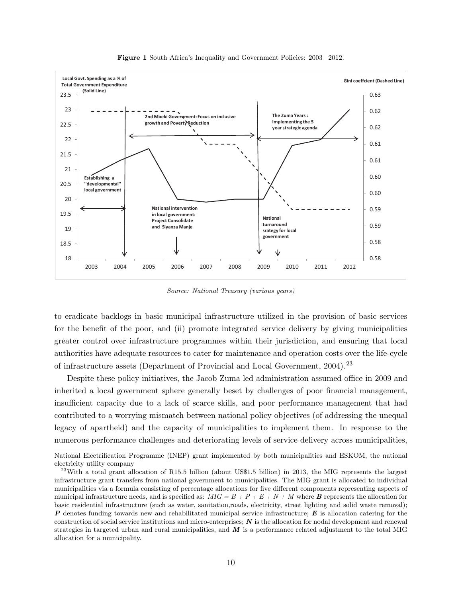

Figure 1 South Africa's Inequality and Government Policies: 2003 –2012.

Source: National Treasury (various years)

to eradicate backlogs in basic municipal infrastructure utilized in the provision of basic services for the benefit of the poor, and (ii) promote integrated service delivery by giving municipalities greater control over infrastructure programmes within their jurisdiction, and ensuring that local authorities have adequate resources to cater for maintenance and operation costs over the life-cycle of infrastructure assets (Department of Provincial and Local Government, 2004). <sup>23</sup>

Despite these policy initiatives, the Jacob Zuma led administration assumed office in 2009 and inherited a local government sphere generally beset by challenges of poor financial management, insufficient capacity due to a lack of scarce skills, and poor performance management that had contributed to a worrying mismatch between national policy objectives (of addressing the unequal legacy of apartheid) and the capacity of municipalities to implement them. In response to the numerous performance challenges and deteriorating levels of service delivery across municipalities,

National Electrification Programme (INEP) grant implemented by both municipalities and ESKOM, the national electricity utility company

 $^{23}$ With a total grant allocation of R15.5 billion (about US\$1.5 billion) in 2013, the MIG represents the largest infrastructure grant transfers from national government to municipalities. The MIG grant is allocated to individual municipalities via a formula consisting of percentage allocations for five different components representing aspects of municipal infrastructure needs, and is specified as:  $MIG = B + P + E + N + M$  where **B** represents the allocation for basic residential infrastructure (such as water, sanitation,roads, electricity, street lighting and solid waste removal);  $P$  denotes funding towards new and rehabilitated municipal service infrastructure;  $E$  is allocation catering for the construction of social service institutions and micro-enterprises;  $N$  is the allocation for nodal development and renewal strategies in targeted urban and rural municipalities, and  $\vec{M}$  is a performance related adjustment to the total MIG allocation for a municipality.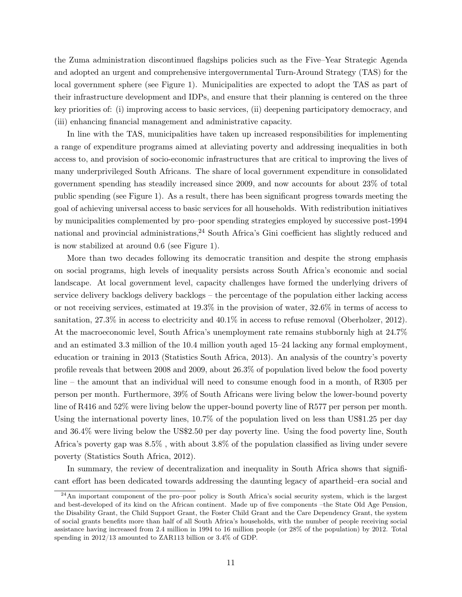the Zuma administration discontinued flagships policies such as the Five–Year Strategic Agenda and adopted an urgent and comprehensive intergovernmental Turn-Around Strategy (TAS) for the local government sphere (see Figure 1). Municipalities are expected to adopt the TAS as part of their infrastructure development and IDPs, and ensure that their planning is centered on the three key priorities of: (i) improving access to basic services, (ii) deepening participatory democracy, and (iii) enhancing financial management and administrative capacity.

In line with the TAS, municipalities have taken up increased responsibilities for implementing a range of expenditure programs aimed at alleviating poverty and addressing inequalities in both access to, and provision of socio-economic infrastructures that are critical to improving the lives of many underprivileged South Africans. The share of local government expenditure in consolidated government spending has steadily increased since 2009, and now accounts for about 23% of total public spending (see Figure 1). As a result, there has been significant progress towards meeting the goal of achieving universal access to basic services for all households. With redistribution initiatives by municipalities complemented by pro–poor spending strategies employed by successive post-1994 national and provincial administrations,<sup>24</sup> South Africa's Gini coefficient has slightly reduced and is now stabilized at around 0.6 (see Figure 1).

More than two decades following its democratic transition and despite the strong emphasis on social programs, high levels of inequality persists across South Africa's economic and social landscape. At local government level, capacity challenges have formed the underlying drivers of service delivery backlogs delivery backlogs – the percentage of the population either lacking access or not receiving services, estimated at  $19.3\%$  in the provision of water,  $32.6\%$  in terms of access to sanitation, 27.3% in access to electricity and  $40.1\%$  in access to refuse removal (Oberholzer, 2012). At the macroeconomic level, South Africa's unemployment rate remains stubbornly high at 24.7% and an estimated 3.3 million of the 10.4 million youth aged 15–24 lacking any formal employment, education or training in 2013 (Statistics South Africa, 2013). An analysis of the country's poverty profile reveals that between 2008 and 2009, about 26.3% of population lived below the food poverty line – the amount that an individual will need to consume enough food in a month, of R305 per person per month. Furthermore, 39% of South Africans were living below the lower-bound poverty line of R416 and 52% were living below the upper-bound poverty line of R577 per person per month. Using the international poverty lines, 10.7% of the population lived on less than US\$1.25 per day and 36.4% were living below the US\$2.50 per day poverty line. Using the food poverty line, South Africa's poverty gap was 8.5% , with about 3.8% of the population classified as living under severe poverty (Statistics South Africa, 2012).

In summary, the review of decentralization and inequality in South Africa shows that significant effort has been dedicated towards addressing the daunting legacy of apartheid–era social and

<sup>&</sup>lt;sup>24</sup>An important component of the pro–poor policy is South Africa's social security system, which is the largest and best-developed of its kind on the African continent. Made up of five components –the State Old Age Pension, the Disability Grant, the Child Support Grant, the Foster Child Grant and the Care Dependency Grant, the system of social grants benefits more than half of all South Africa's households, with the number of people receiving social assistance having increased from 2.4 million in 1994 to 16 million people (or 28% of the population) by 2012. Total spending in 2012/13 amounted to ZAR113 billion or 3.4% of GDP.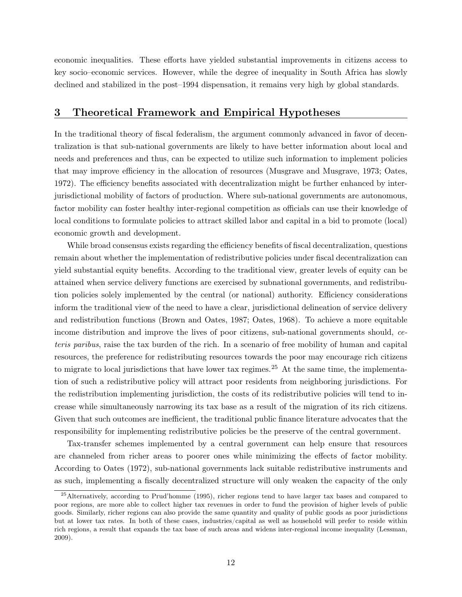economic inequalities. These efforts have yielded substantial improvements in citizens access to key socio–economic services. However, while the degree of inequality in South Africa has slowly declined and stabilized in the post–1994 dispensation, it remains very high by global standards.

#### 3 Theoretical Framework and Empirical Hypotheses

In the traditional theory of fiscal federalism, the argument commonly advanced in favor of decentralization is that sub-national governments are likely to have better information about local and needs and preferences and thus, can be expected to utilize such information to implement policies that may improve efficiency in the allocation of resources (Musgrave and Musgrave, 1973; Oates, 1972). The efficiency benefits associated with decentralization might be further enhanced by interjurisdictional mobility of factors of production. Where sub-national governments are autonomous, factor mobility can foster healthy inter-regional competition as officials can use their knowledge of local conditions to formulate policies to attract skilled labor and capital in a bid to promote (local) economic growth and development.

While broad consensus exists regarding the efficiency benefits of fiscal decentralization, questions remain about whether the implementation of redistributive policies under fiscal decentralization can yield substantial equity benefits. According to the traditional view, greater levels of equity can be attained when service delivery functions are exercised by subnational governments, and redistribution policies solely implemented by the central (or national) authority. Efficiency considerations inform the traditional view of the need to have a clear, jurisdictional delineation of service delivery and redistribution functions (Brown and Oates, 1987; Oates, 1968). To achieve a more equitable income distribution and improve the lives of poor citizens, sub-national governments should, ceteris paribus, raise the tax burden of the rich. In a scenario of free mobility of human and capital resources, the preference for redistributing resources towards the poor may encourage rich citizens to migrate to local jurisdictions that have lower tax regimes.<sup>25</sup> At the same time, the implementation of such a redistributive policy will attract poor residents from neighboring jurisdictions. For the redistribution implementing jurisdiction, the costs of its redistributive policies will tend to increase while simultaneously narrowing its tax base as a result of the migration of its rich citizens. Given that such outcomes are inefficient, the traditional public finance literature advocates that the responsibility for implementing redistributive policies be the preserve of the central government.

Tax-transfer schemes implemented by a central government can help ensure that resources are channeled from richer areas to poorer ones while minimizing the effects of factor mobility. According to Oates (1972), sub-national governments lack suitable redistributive instruments and as such, implementing a fiscally decentralized structure will only weaken the capacity of the only

<sup>&</sup>lt;sup>25</sup> Alternatively, according to Prud'homme (1995), richer regions tend to have larger tax bases and compared to poor regions, are more able to collect higher tax revenues in order to fund the provision of higher levels of public goods. Similarly, richer regions can also provide the same quantity and quality of public goods as poor jurisdictions but at lower tax rates. In both of these cases, industries/capital as well as household will prefer to reside within rich regions, a result that expands the tax base of such areas and widens inter-regional income inequality (Lessman, 2009).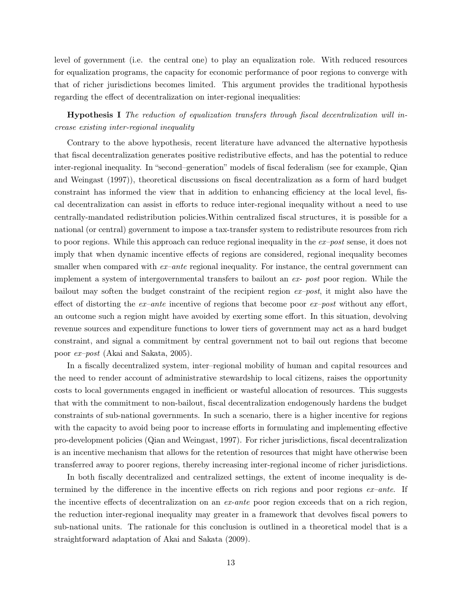level of government (i.e. the central one) to play an equalization role. With reduced resources for equalization programs, the capacity for economic performance of poor regions to converge with that of richer jurisdictions becomes limited. This argument provides the traditional hypothesis regarding the effect of decentralization on inter-regional inequalities:

Hypothesis I The reduction of equalization transfers through fiscal decentralization will increase existing inter-regional inequality

Contrary to the above hypothesis, recent literature have advanced the alternative hypothesis that fiscal decentralization generates positive redistributive effects, and has the potential to reduce inter-regional inequality. In "second–generation" models of fiscal federalism (see for example, Qian and Weingast (1997)), theoretical discussions on fiscal decentralization as a form of hard budget constraint has informed the view that in addition to enhancing efficiency at the local level, fiscal decentralization can assist in efforts to reduce inter-regional inequality without a need to use centrally-mandated redistribution policies.Within centralized fiscal structures, it is possible for a national (or central) government to impose a tax-transfer system to redistribute resources from rich to poor regions. While this approach can reduce regional inequality in the  $ex-post$  sense, it does not imply that when dynamic incentive effects of regions are considered, regional inequality becomes smaller when compared with  $ex-ante$  regional inequality. For instance, the central government can implement a system of intergovernmental transfers to bailout an  $ex$ - post poor region. While the bailout may soften the budget constraint of the recipient region  $ex-post$ , it might also have the effect of distorting the  $ex$ -ante incentive of regions that become poor  $ex$ -post without any effort, an outcome such a region might have avoided by exerting some effort. In this situation, devolving revenue sources and expenditure functions to lower tiers of government may act as a hard budget constraint, and signal a commitment by central government not to bail out regions that become poor ex–post (Akai and Sakata, 2005).

In a fiscally decentralized system, inter–regional mobility of human and capital resources and the need to render account of administrative stewardship to local citizens, raises the opportunity costs to local governments engaged in inefficient or wasteful allocation of resources. This suggests that with the commitment to non-bailout, fiscal decentralization endogenously hardens the budget constraints of sub-national governments. In such a scenario, there is a higher incentive for regions with the capacity to avoid being poor to increase efforts in formulating and implementing effective pro-development policies (Qian and Weingast, 1997). For richer jurisdictions, fiscal decentralization is an incentive mechanism that allows for the retention of resources that might have otherwise been transferred away to poorer regions, thereby increasing inter-regional income of richer jurisdictions.

In both fiscally decentralized and centralized settings, the extent of income inequality is determined by the difference in the incentive effects on rich regions and poor regions  $ex$ -ante. If the incentive effects of decentralization on an ex-ante poor region exceeds that on a rich region, the reduction inter-regional inequality may greater in a framework that devolves fiscal powers to sub-national units. The rationale for this conclusion is outlined in a theoretical model that is a straightforward adaptation of Akai and Sakata (2009).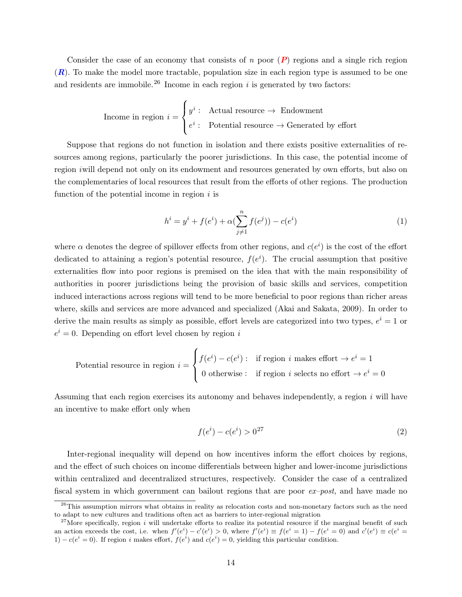Consider the case of an economy that consists of n poor  $(P)$  regions and a single rich region  $(R)$ . To make the model more tractable, population size in each region type is assumed to be one and residents are immobile.<sup>26</sup> Income in each region  $i$  is generated by two factors:

Income in region 
$$
i = \begin{cases} y^i : \text{Actual resource} \rightarrow \text{Endowment} \\ e^i : \text{Potential resource} \rightarrow \text{Generaled by effort} \end{cases}
$$

Suppose that regions do not function in isolation and there exists positive externalities of resources among regions, particularly the poorer jurisdictions. In this case, the potential income of region iwill depend not only on its endowment and resources generated by own efforts, but also on the complementaries of local resources that result from the efforts of other regions. The production function of the potential income in region  $i$  is

$$
h^{i} = y^{i} + f(e^{i}) + \alpha(\sum_{j \neq 1}^{n} f(e^{j})) - c(e^{i})
$$
\n(1)

where  $\alpha$  denotes the degree of spillover effects from other regions, and  $c(e^i)$  is the cost of the effort dedicated to attaining a region's potential resource,  $f(e^i)$ . The crucial assumption that positive externalities flow into poor regions is premised on the idea that with the main responsibility of authorities in poorer jurisdictions being the provision of basic skills and services, competition induced interactions across regions will tend to be more beneficial to poor regions than richer areas where, skills and services are more advanced and specialized (Akai and Sakata, 2009). In order to derive the main results as simply as possible, effort levels are categorized into two types,  $e^{i} = 1$  or  $e^{i} = 0$ . Depending on effort level chosen by region i

Potential resource in region 
$$
i = \begin{cases} f(e^i) - c(e^i) : & \text{if region } i \text{ makes effort } \to e^i = 1 \\ 0 & \text{otherwise} : & \text{if region } i \text{ selects no effort } \to e^i = 0 \end{cases}
$$

Assuming that each region exercises its autonomy and behaves independently, a region  $i$  will have an incentive to make effort only when

$$
f(e^i) - c(e^i) > 0^{27}
$$
 (2)

Inter-regional inequality will depend on how incentives inform the effort choices by regions, and the effect of such choices on income differentials between higher and lower-income jurisdictions within centralized and decentralized structures, respectively. Consider the case of a centralized fiscal system in which government can bailout regions that are poor  $ex-post$ , and have made no

<sup>&</sup>lt;sup>26</sup>This assumption mirrors what obtains in reality as relocation costs and non-monetary factors such as the need to adapt to new cultures and traditions often act as barriers to inter-regional migration

<sup>&</sup>lt;sup>27</sup>More specifically, region i will undertake efforts to realize its potential resource if the marginal benefit of such an action exceeds the cost, i.e. when  $f'(e^i) - c'(e^i) > 0$ , where  $f'(e^i) \equiv f(e^i = 1) - f(e^i = 0)$  and  $c'(e^i) \equiv c(e^i = 1)$ 1) –  $c(e^i = 0)$ . If region i makes effort,  $f(e^i)$  and  $c(e^i) = 0$ , yielding this particular condition.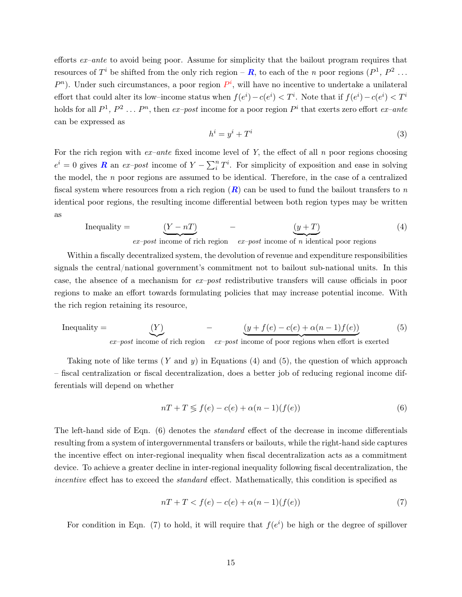efforts ex–ante to avoid being poor. Assume for simplicity that the bailout program requires that resources of  $T^i$  be shifted from the only rich region – **R**, to each of the *n* poor regions  $(P^1, P^2 \dots)$  $P<sup>n</sup>$ ). Under such circumstances, a poor region  $P<sup>i</sup>$ , will have no incentive to undertake a unilateral effort that could alter its low–income status when  $f(e^i) - c(e^i) < T^i$ . Note that if  $f(e^i) - c(e^i) < T^i$ holds for all  $P^1$ ,  $P^2$  ...  $P^n$ , then  $ex-post$  income for a poor region  $P^i$  that exerts zero effort  $ex-ante$ can be expressed as

$$
h^i = y^i + T^i \tag{3}
$$

For the rich region with  $ex-ante$  fixed income level of Y, the effect of all n poor regions choosing  $e^i = 0$  gives **R** an ex-post income of  $Y - \sum_i^n T^i$ . For simplicity of exposition and ease in solving the model, the  $n$  poor regions are assumed to be identical. Therefore, in the case of a centralized fiscal system where resources from a rich region  $(R)$  can be used to fund the bailout transfers to n identical poor regions, the resulting income differential between both region types may be written as

Inequality = 
$$
\underbrace{(Y - nT)}_{ex - post \text{ income of rich region}} - \underbrace{(y + T)}_{ex - post \text{ income of } n \text{ identical poor regions}} \tag{4}
$$

Within a fiscally decentralized system, the devolution of revenue and expenditure responsibilities signals the central/national government's commitment not to bailout sub-national units. In this case, the absence of a mechanism for ex–post redistributive transfers will cause officials in poor regions to make an effort towards formulating policies that may increase potential income. With the rich region retaining its resource,

Inequality = 
$$
\underbrace{(Y)}_{ex-post \text{ income of rich region}} - \underbrace{(y + f(e) - c(e) + \alpha(n-1)f(e))}_{ex-post \text{ income of poor regions when effort is exerted}} (5)
$$

Taking note of like terms  $(Y \text{ and } y)$  in Equations (4) and (5), the question of which approach – fiscal centralization or fiscal decentralization, does a better job of reducing regional income differentials will depend on whether

$$
nT + T \leq f(e) - c(e) + \alpha(n-1)(f(e))
$$
\n<sup>(6)</sup>

The left-hand side of Eqn. (6) denotes the standard effect of the decrease in income differentials resulting from a system of intergovernmental transfers or bailouts, while the right-hand side captures the incentive effect on inter-regional inequality when fiscal decentralization acts as a commitment device. To achieve a greater decline in inter-regional inequality following fiscal decentralization, the incentive effect has to exceed the *standard* effect. Mathematically, this condition is specified as

$$
nT + T < f(e) - c(e) + \alpha(n-1)(f(e))\tag{7}
$$

For condition in Eqn. (7) to hold, it will require that  $f(e^i)$  be high or the degree of spillover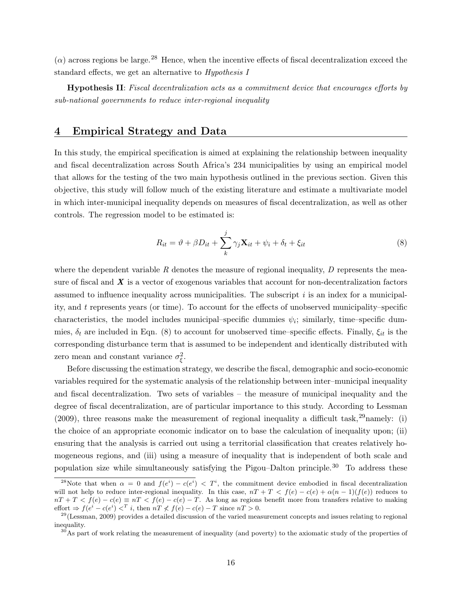$(\alpha)$  across regions be large.<sup>28</sup> Hence, when the incentive effects of fiscal decentralization exceed the standard effects, we get an alternative to Hypothesis I

Hypothesis II: Fiscal decentralization acts as a commitment device that encourages efforts by sub-national governments to reduce inter-regional inequality

#### 4 Empirical Strategy and Data

In this study, the empirical specification is aimed at explaining the relationship between inequality and fiscal decentralization across South Africa's 234 municipalities by using an empirical model that allows for the testing of the two main hypothesis outlined in the previous section. Given this objective, this study will follow much of the existing literature and estimate a multivariate model in which inter-municipal inequality depends on measures of fiscal decentralization, as well as other controls. The regression model to be estimated is:

$$
R_{it} = \vartheta + \beta D_{it} + \sum_{k}^{j} \gamma_j \mathbf{X}_{it} + \psi_i + \delta_t + \xi_{it}
$$
\n(8)

where the dependent variable R denotes the measure of regional inequality,  $D$  represents the measure of fiscal and  $\boldsymbol{X}$  is a vector of exogenous variables that account for non-decentralization factors assumed to influence inequality across municipalities. The subscript  $i$  is an index for a municipality, and t represents years (or time). To account for the effects of unobserved municipality–specific characteristics, the model includes municipal–specific dummies  $\psi_i$ ; similarly, time–specific dummies,  $\delta_t$  are included in Eqn. (8) to account for unobserved time–specific effects. Finally,  $\xi_{it}$  is the corresponding disturbance term that is assumed to be independent and identically distributed with zero mean and constant variance  $\sigma_{\xi}^2$ .

Before discussing the estimation strategy, we describe the fiscal, demographic and socio-economic variables required for the systematic analysis of the relationship between inter–municipal inequality and fiscal decentralization. Two sets of variables – the measure of municipal inequality and the degree of fiscal decentralization, are of particular importance to this study. According to Lessman (2009), three reasons make the measurement of regional inequality a difficult task,  $29$ namely: (i) the choice of an appropriate economic indicator on to base the calculation of inequality upon; (ii) ensuring that the analysis is carried out using a territorial classification that creates relatively homogeneous regions, and (iii) using a measure of inequality that is independent of both scale and population size while simultaneously satisfying the Pigou–Dalton principle. <sup>30</sup> To address these

<sup>&</sup>lt;sup>28</sup>Note that when  $\alpha = 0$  and  $f(e^i) - c(e^i) < T^i$ , the commitment device embodied in fiscal decentralization will not help to reduce inter-regional inequality. In this case,  $nT + T < f(e) - c(e) + \alpha(n-1)(f(e))$  reduces to  $nT + T < f(e) - c(e) \equiv nT < f(e) - c(e) - T$ . As long as regions benefit more from transfers relative to making effort  $\Rightarrow$   $f(e^i - c(e^i) <^T i$ , then  $nT \nless f(e) - c(e) - T$  since  $nT > 0$ .

 $29$ (Lessman, 2009) provides a detailed discussion of the varied measurement concepts and issues relating to regional inequality.

 $30<sup>30</sup>$ As part of work relating the measurement of inequality (and poverty) to the axiomatic study of the properties of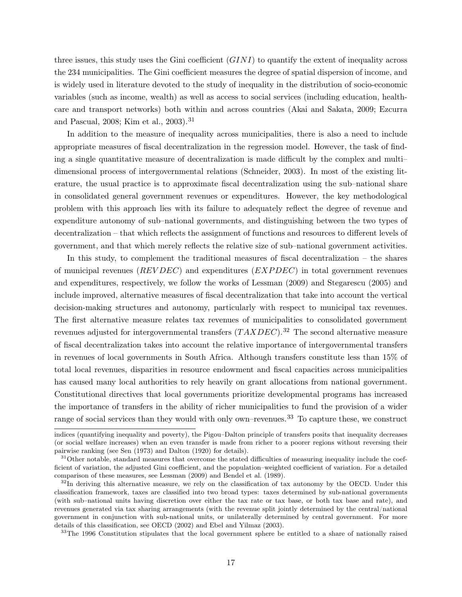three issues, this study uses the Gini coefficient  $(GINI)$  to quantify the extent of inequality across the 234 municipalities. The Gini coefficient measures the degree of spatial dispersion of income, and is widely used in literature devoted to the study of inequality in the distribution of socio-economic variables (such as income, wealth) as well as access to social services (including education, healthcare and transport networks) both within and across countries (Akai and Sakata, 2009; Ezcurra and Pascual, 2008; Kim et al., 2003).<sup>31</sup>

In addition to the measure of inequality across municipalities, there is also a need to include appropriate measures of fiscal decentralization in the regression model. However, the task of finding a single quantitative measure of decentralization is made difficult by the complex and multi– dimensional process of intergovernmental relations (Schneider, 2003). In most of the existing literature, the usual practice is to approximate fiscal decentralization using the sub–national share in consolidated general government revenues or expenditures. However, the key methodological problem with this approach lies with its failure to adequately reflect the degree of revenue and expenditure autonomy of sub–national governments, and distinguishing between the two types of decentralization – that which reflects the assignment of functions and resources to different levels of government, and that which merely reflects the relative size of sub–national government activities.

In this study, to complement the traditional measures of fiscal decentralization – the shares of municipal revenues ( $REVDEC$ ) and expenditures ( $EXPDEC$ ) in total government revenues and expenditures, respectively, we follow the works of Lessman (2009) and Stegarescu (2005) and include improved, alternative measures of fiscal decentralization that take into account the vertical decision-making structures and autonomy, particularly with respect to municipal tax revenues. The first alternative measure relates tax revenues of municipalities to consolidated government revenues adjusted for intergovernmental transfers  $(TAXDEC).^{32}$  The second alternative measure of fiscal decentralization takes into account the relative importance of intergovernmental transfers in revenues of local governments in South Africa. Although transfers constitute less than 15% of total local revenues, disparities in resource endowment and fiscal capacities across municipalities has caused many local authorities to rely heavily on grant allocations from national government. Constitutional directives that local governments prioritize developmental programs has increased the importance of transfers in the ability of richer municipalities to fund the provision of a wider range of social services than they would with only own–revenues.<sup>33</sup> To capture these, we construct

<sup>33</sup>The 1996 Constitution stipulates that the local government sphere be entitled to a share of nationally raised

indices (quantifying inequality and poverty), the Pigou–Dalton principle of transfers posits that inequality decreases (or social welfare increases) when an even transfer is made from richer to a poorer regions without reversing their pairwise ranking (see Sen (1973) and Dalton (1920) for details).

 $31$ Other notable, standard measures that overcome the stated difficulties of measuring inequality include the coefficient of variation, the adjusted Gini coefficient, and the population–weighted coefficient of variation. For a detailed comparison of these measures, see Lessman (2009) and Bendel et al. (1989).

 $32$ In deriving this alternative measure, we rely on the classification of tax autonomy by the OECD. Under this classification framework, taxes are classified into two broad types: taxes determined by sub-national governments (with sub–national units having discretion over either the tax rate or tax base, or both tax base and rate), and revenues generated via tax sharing arrangements (with the revenue split jointly determined by the central/national government in conjunction with sub-national units, or unilaterally determined by central government. For more details of this classification, see OECD (2002) and Ebel and Yilmaz (2003).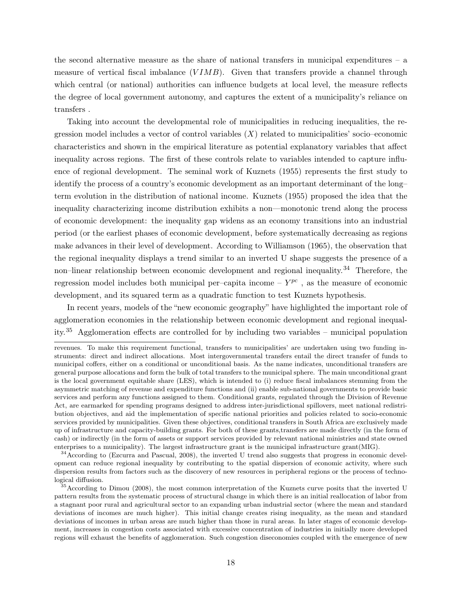the second alternative measure as the share of national transfers in municipal expenditures – a measure of vertical fiscal imbalance  $(VIMB)$ . Given that transfers provide a channel through which central (or national) authorities can influence budgets at local level, the measure reflects the degree of local government autonomy, and captures the extent of a municipality's reliance on transfers .

Taking into account the developmental role of municipalities in reducing inequalities, the regression model includes a vector of control variables  $(X)$  related to municipalities' socio–economic characteristics and shown in the empirical literature as potential explanatory variables that affect inequality across regions. The first of these controls relate to variables intended to capture influence of regional development. The seminal work of Kuznets (1955) represents the first study to identify the process of a country's economic development as an important determinant of the long– term evolution in the distribution of national income. Kuznets (1955) proposed the idea that the inequality characterizing income distribution exhibits a non—monotonic trend along the process of economic development: the inequality gap widens as an economy transitions into an industrial period (or the earliest phases of economic development, before systematically decreasing as regions make advances in their level of development. According to Williamson (1965), the observation that the regional inequality displays a trend similar to an inverted U shape suggests the presence of a non–linear relationship between economic development and regional inequality.<sup>34</sup> Therefore, the regression model includes both municipal per–capita income  $- Y^{pc}$ , as the measure of economic development, and its squared term as a quadratic function to test Kuznets hypothesis.

In recent years, models of the "new economic geography" have highlighted the important role of agglomeration economies in the relationship between economic development and regional inequality.<sup>35</sup> Agglomeration effects are controlled for by including two variables – municipal population

revenues. To make this requirement functional, transfers to municipalities' are undertaken using two funding instruments: direct and indirect allocations. Most intergovernmental transfers entail the direct transfer of funds to municipal coffers, either on a conditional or unconditional basis. As the name indicates, unconditional transfers are general purpose allocations and form the bulk of total transfers to the municipal sphere. The main unconditional grant is the local government equitable share (LES), which is intended to (i) reduce fiscal imbalances stemming from the asymmetric matching of revenue and expenditure functions and (ii) enable sub-national governments to provide basic services and perform any functions assigned to them. Conditional grants, regulated through the Division of Revenue Act, are earmarked for spending programs designed to address inter-jurisdictional spillovers, meet national redistribution objectives, and aid the implementation of specific national priorities and policies related to socio-economic services provided by municipalities. Given these objectives, conditional transfers in South Africa are exclusively made up of infrastructure and capacity-building grants. For both of these grants,transfers are made directly (in the form of cash) or indirectly (in the form of assets or support services provided by relevant national ministries and state owned enterprises to a municipality). The largest infrastructure grant is the municipal infrastructure grant(MIG).

<sup>&</sup>lt;sup>34</sup> According to (Ezcurra and Pascual, 2008), the inverted U trend also suggests that progress in economic development can reduce regional inequality by contributing to the spatial dispersion of economic activity, where such dispersion results from factors such as the discovery of new resources in peripheral regions or the process of technological diffusion.

<sup>&</sup>lt;sup>35</sup>According to Dimou (2008), the most common interpretation of the Kuznets curve posits that the inverted U pattern results from the systematic process of structural change in which there is an initial reallocation of labor from a stagnant poor rural and agricultural sector to an expanding urban industrial sector (where the mean and standard deviations of incomes are much higher). This initial change creates rising inequality, as the mean and standard deviations of incomes in urban areas are much higher than those in rural areas. In later stages of economic development, increases in congestion costs associated with excessive concentration of industries in initially more developed regions will exhaust the benefits of agglomeration. Such congestion diseconomies coupled with the emergence of new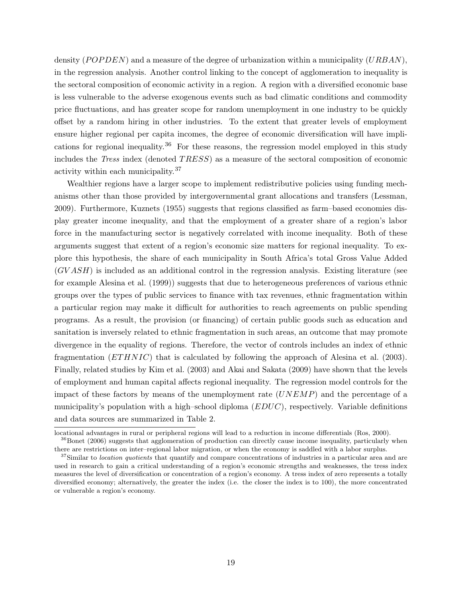density ( $POPDEN$ ) and a measure of the degree of urbanization within a municipality ( $URBAN$ ), in the regression analysis. Another control linking to the concept of agglomeration to inequality is the sectoral composition of economic activity in a region. A region with a diversified economic base is less vulnerable to the adverse exogenous events such as bad climatic conditions and commodity price fluctuations, and has greater scope for random unemployment in one industry to be quickly offset by a random hiring in other industries. To the extent that greater levels of employment ensure higher regional per capita incomes, the degree of economic diversification will have implications for regional inequality.<sup>36</sup> For these reasons, the regression model employed in this study includes the *Tress* index (denoted TRESS) as a measure of the sectoral composition of economic activity within each municipality.<sup>37</sup>

Wealthier regions have a larger scope to implement redistributive policies using funding mechanisms other than those provided by intergovernmental grant allocations and transfers (Lessman, 2009). Furthermore, Kuznets (1955) suggests that regions classified as farm–based economies display greater income inequality, and that the employment of a greater share of a region's labor force in the manufacturing sector is negatively correlated with income inequality. Both of these arguments suggest that extent of a region's economic size matters for regional inequality. To explore this hypothesis, the share of each municipality in South Africa's total Gross Value Added (GV ASH) is included as an additional control in the regression analysis. Existing literature (see for example Alesina et al. (1999)) suggests that due to heterogeneous preferences of various ethnic groups over the types of public services to finance with tax revenues, ethnic fragmentation within a particular region may make it difficult for authorities to reach agreements on public spending programs. As a result, the provision (or financing) of certain public goods such as education and sanitation is inversely related to ethnic fragmentation in such areas, an outcome that may promote divergence in the equality of regions. Therefore, the vector of controls includes an index of ethnic fragmentation ( $ETHNIC$ ) that is calculated by following the approach of Alesina et al. (2003). Finally, related studies by Kim et al. (2003) and Akai and Sakata (2009) have shown that the levels of employment and human capital affects regional inequality. The regression model controls for the impact of these factors by means of the unemployment rate  $(UNEMP)$  and the percentage of a municipality's population with a high–school diploma  $(EDUC)$ , respectively. Variable definitions and data sources are summarized in Table 2.

locational advantages in rural or peripheral regions will lead to a reduction in income differentials (Ros, 2000).

<sup>&</sup>lt;sup>36</sup>Bonet (2006) suggests that agglomeration of production can directly cause income inequality, particularly when there are restrictions on inter–regional labor migration, or when the economy is saddled with a labor surplus.

 $37$ Similar to *location quotients* that quantify and compare concentrations of industries in a particular area and are used in research to gain a critical understanding of a region's economic strengths and weaknesses, the tress index measures the level of diversification or concentration of a region's economy. A tress index of zero represents a totally diversified economy; alternatively, the greater the index (i.e. the closer the index is to 100), the more concentrated or vulnerable a region's economy.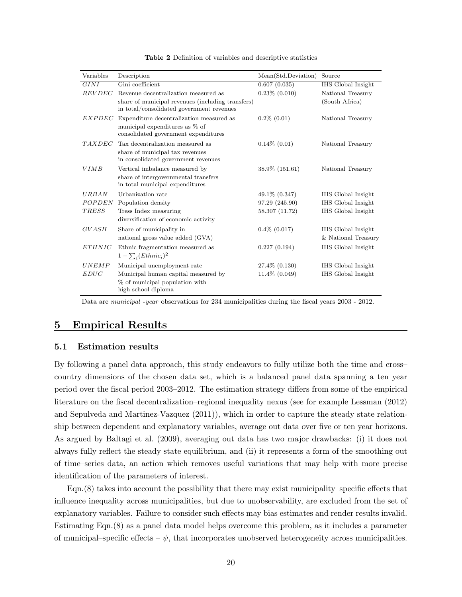| Variables     | Description                                                                                    | Mean(Std.Deviation) | Source              |
|---------------|------------------------------------------------------------------------------------------------|---------------------|---------------------|
| GINI          | Gini coefficient                                                                               | 0.607(0.035)        | IHS Global Insight  |
| <b>REVDEC</b> | Revenue decentralization measured as                                                           | $0.23\%$ $(0.010)$  | National Treasury   |
|               | share of municipal revenues (including transfers)<br>in total/consolidated government revenues |                     | (South Africa)      |
| <i>EXPDEC</i> | Expenditure decentralization measured as                                                       | $0.2\%$ $(0.01)$    | National Treasury   |
|               | municipal expenditures as % of<br>consolidated government expenditures                         |                     |                     |
| <b>TAXDEC</b> | Tax decentralization measured as                                                               | $0.14\%$ $(0.01)$   | National Treasury   |
|               | share of municipal tax revenues<br>in consolidated government revenues                         |                     |                     |
| <b>VIMB</b>   | Vertical imbalance measured by                                                                 | 38.9% (151.61)      | National Treasury   |
|               | share of intergovernmental transfers<br>in total municipal expenditures                        |                     |                     |
| URBAN         | Urbanization rate                                                                              | $49.1\% (0.347)$    | IHS Global Insight  |
| POPDEN        | Population density                                                                             | 97.29 (245.90)      | IHS Global Insight  |
| <b>TRESS</b>  | Tress Index measuring                                                                          | 58.307 (11.72)      | IHS Global Insight  |
|               | diversification of economic activity                                                           |                     |                     |
| GVASH         | Share of municipality in                                                                       | $0.4\%$ $(0.017)$   | IHS Global Insight  |
|               | national gross value added (GVA)                                                               |                     | & National Treasury |
| <b>ETHNIC</b> | Ethnic fragmentation measured as                                                               | 0.227(0.194)        | IHS Global Insight  |
|               | $1-\sum_i (Ethnic_i)^2$                                                                        |                     |                     |
| UNEMP         | Municipal unemployment rate                                                                    | 27.4\% (0.130)      | IHS Global Insight  |
| EDUC          | Municipal human capital measured by                                                            | 11.4% (0.049)       | IHS Global Insight  |
|               | % of municipal population with<br>high school diploma                                          |                     |                     |

Table 2 Definition of variables and descriptive statistics

Data are municipal -year observations for 234 municipalities during the fiscal years 2003 - 2012.

#### 5 Empirical Results

#### 5.1 Estimation results

By following a panel data approach, this study endeavors to fully utilize both the time and cross– country dimensions of the chosen data set, which is a balanced panel data spanning a ten year period over the fiscal period 2003–2012. The estimation strategy differs from some of the empirical literature on the fiscal decentralization–regional inequality nexus (see for example Lessman (2012) and Sepulveda and Martinez-Vazquez (2011)), which in order to capture the steady state relationship between dependent and explanatory variables, average out data over five or ten year horizons. As argued by Baltagi et al. (2009), averaging out data has two major drawbacks: (i) it does not always fully reflect the steady state equilibrium, and (ii) it represents a form of the smoothing out of time–series data, an action which removes useful variations that may help with more precise identification of the parameters of interest.

Eqn.(8) takes into account the possibility that there may exist municipality–specific effects that influence inequality across municipalities, but due to unobservability, are excluded from the set of explanatory variables. Failure to consider such effects may bias estimates and render results invalid. Estimating Eqn.(8) as a panel data model helps overcome this problem, as it includes a parameter of municipal–specific effects –  $\psi$ , that incorporates unobserved heterogeneity across municipalities.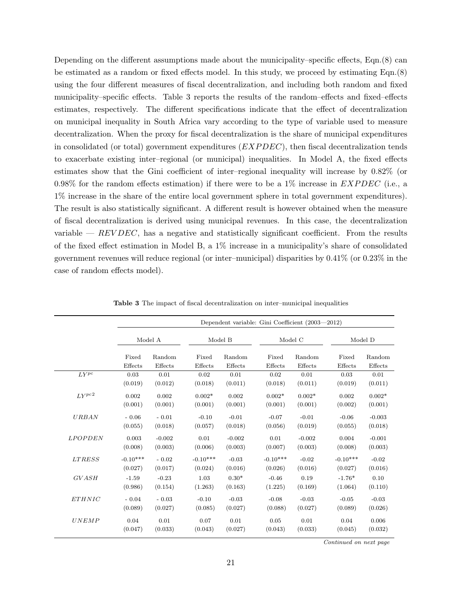Depending on the different assumptions made about the municipality–specific effects, Eqn.(8) can be estimated as a random or fixed effects model. In this study, we proceed by estimating Eqn.(8) using the four different measures of fiscal decentralization, and including both random and fixed municipality–specific effects. Table 3 reports the results of the random–effects and fixed–effects estimates, respectively. The different specifications indicate that the effect of decentralization on municipal inequality in South Africa vary according to the type of variable used to measure decentralization. When the proxy for fiscal decentralization is the share of municipal expenditures in consolidated (or total) government expenditures  $(EXPDEC)$ , then fiscal decentralization tends to exacerbate existing inter–regional (or municipal) inequalities. In Model A, the fixed effects estimates show that the Gini coefficient of inter–regional inequality will increase by 0.82% (or 0.98% for the random effects estimation) if there were to be a  $1\%$  increase in *EXPDEC* (i.e., a 1% increase in the share of the entire local government sphere in total government expenditures). The result is also statistically significant. A different result is however obtained when the measure of fiscal decentralization is derived using municipal revenues. In this case, the decentralization variable —  $REVDEC$ , has a negative and statistically significant coefficient. From the results of the fixed effect estimation in Model B, a 1% increase in a municipality's share of consolidated government revenues will reduce regional (or inter–municipal) disparities by 0.41% (or 0.23% in the case of random effects model).

|               | Dependent variable: Gini Coefficient (2003—2012) |          |            |          |            |          |            |          |  |
|---------------|--------------------------------------------------|----------|------------|----------|------------|----------|------------|----------|--|
|               |                                                  | Model A  |            | Model B  |            | Model C  |            | Model D  |  |
|               | Fixed                                            | Random   | Fixed      | Random   | Fixed      | Random   | Fixed      | Random   |  |
|               | Effects                                          | Effects  | Effects    | Effects  | Effects    | Effects  | Effects    | Effects  |  |
| $LY^{pc}$     | 0.03                                             | 0.01     | 0.02       | 0.01     | 0.02       | 0.01     | 0.03       | 0.01     |  |
|               | (0.019)                                          | (0.012)  | (0.018)    | (0.011)  | (0.018)    | (0.011)  | (0.019)    | (0.011)  |  |
| LYPc2         | 0.002                                            | 0.002    | $0.002*$   | 0.002    | $0.002*$   | $0.002*$ | 0.002      | $0.002*$ |  |
|               | (0.001)                                          | (0.001)  | (0.001)    | (0.001)  | (0.001)    | (0.001)  | (0.002)    | (0.001)  |  |
| <b>URBAN</b>  | $-0.06$                                          | $-0.01$  | $-0.10$    | $-0.01$  | $-0.07$    | $-0.01$  | $-0.06$    | $-0.003$ |  |
|               | (0.055)                                          | (0.018)  | (0.057)    | (0.018)  | (0.056)    | (0.019)  | (0.055)    | (0.018)  |  |
| LPOPDEN       | 0.003                                            | $-0.002$ | 0.01       | $-0.002$ | 0.01       | $-0.002$ | 0.004      | $-0.001$ |  |
|               | (0.008)                                          | (0.003)  | (0.006)    | (0.003)  | (0.007)    | (0.003)  | (0.008)    | (0.003)  |  |
| <b>LTRESS</b> | $-0.10***$                                       | $-0.02$  | $-0.10***$ | $-0.03$  | $-0.10***$ | $-0.02$  | $-0.10***$ | $-0.02$  |  |
|               | (0.027)                                          | (0.017)  | (0.024)    | (0.016)  | (0.026)    | (0.016)  | (0.027)    | (0.016)  |  |
| <b>GVASH</b>  | $-1.59$                                          | $-0.23$  | 1.03       | $0.30*$  | $-0.46$    | 0.19     | $-1.76*$   | 0.10     |  |
|               | (0.986)                                          | (0.154)  | (1.263)    | (0.163)  | (1.225)    | (0.169)  | (1.064)    | (0.110)  |  |
| <b>ETHNIC</b> | $-0.04$                                          | $-0.03$  | $-0.10$    | $-0.03$  | $-0.08$    | $-0.03$  | $-0.05$    | $-0.03$  |  |
|               | (0.089)                                          | (0.027)  | (0.085)    | (0.027)  | (0.088)    | (0.027)  | (0.089)    | (0.026)  |  |
| <b>UNEMP</b>  | 0.04                                             | 0.01     | 0.07       | 0.01     | 0.05       | 0.01     | 0.04       | 0.006    |  |
|               | (0.047)                                          | (0.033)  | (0.043)    | (0.027)  | (0.043)    | (0.033)  | (0.045)    | (0.032)  |  |

Table 3 The impact of fiscal decentralization on inter–municipal inequalities

Continued on next page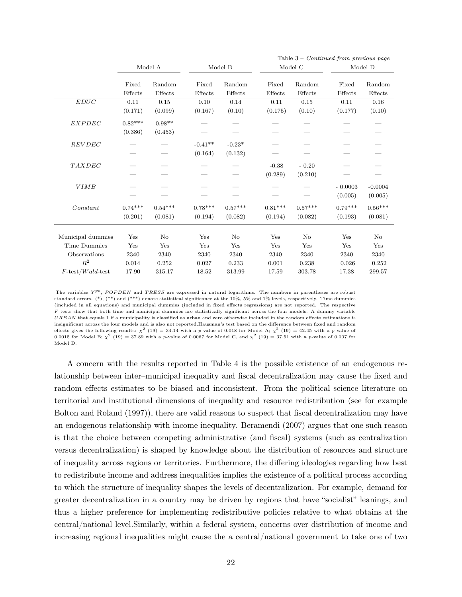|                                                                                                                |                                      |                                      |                                      |                                      |                                      |                                            | Table $3$ – <i>Continued from previous page</i> |                                      |
|----------------------------------------------------------------------------------------------------------------|--------------------------------------|--------------------------------------|--------------------------------------|--------------------------------------|--------------------------------------|--------------------------------------------|-------------------------------------------------|--------------------------------------|
|                                                                                                                |                                      | Model A                              |                                      | Model B                              |                                      | Model C                                    |                                                 | Model D                              |
|                                                                                                                | Fixed<br>Effects                     | Random<br>Effects                    | Fixed<br>Effects                     | Random<br>Effects                    | Fixed<br>Effects                     | Random<br>Effects                          | Fixed<br>Effects                                | Random<br>Effects                    |
| $EDUC$                                                                                                         | 0.11<br>(0.171)                      | 0.15<br>(0.099)                      | 0.10<br>(0.167)                      | 0.14<br>(0.10)                       | 0.11<br>(0.175)                      | 0.15<br>(0.10)                             | 0.11<br>(0.177)                                 | 0.16<br>(0.10)                       |
| <b>EXPDEC</b>                                                                                                  | $0.82***$<br>(0.386)                 | $0.98**$<br>(0.453)                  |                                      |                                      |                                      |                                            |                                                 |                                      |
| REVDEC                                                                                                         |                                      |                                      | $-0.41**$<br>(0.164)                 | $-0.23*$<br>(0.132)                  |                                      |                                            |                                                 |                                      |
| TAXDEC                                                                                                         |                                      |                                      |                                      |                                      | $-0.38$<br>(0.289)                   | $-0.20$<br>(0.210)                         |                                                 |                                      |
| <b>VIMB</b>                                                                                                    |                                      |                                      |                                      |                                      |                                      |                                            | $-0.0003$<br>(0.005)                            | $-0.0004$<br>(0.005)                 |
| Constant                                                                                                       | $0.74***$<br>(0.201)                 | $0.54***$<br>(0.081)                 | $0.78***$<br>(0.194)                 | $0.57***$<br>(0.082)                 | $0.81***$<br>(0.194)                 | $0.57***$<br>(0.082)                       | $0.79***$<br>(0.193)                            | $0.56***$<br>(0.081)                 |
| Municipal dummies<br><b>Time Dummies</b><br>Observations<br>$\mathbb{R}^2$<br>$F\text{-test}/Wald\text{-test}$ | Yes<br>Yes<br>2340<br>0.014<br>17.90 | No<br>Yes<br>2340<br>0.252<br>315.17 | Yes<br>Yes<br>2340<br>0.027<br>18.52 | No<br>Yes<br>2340<br>0.233<br>313.99 | Yes<br>Yes<br>2340<br>0.001<br>17.59 | $\rm No$<br>Yes<br>2340<br>0.238<br>303.78 | Yes<br>Yes<br>2340<br>0.026<br>17.38            | No<br>Yes<br>2340<br>0.252<br>299.57 |

The variables  $Y^{pc}$ , POPDEN and TRESS are expressed in natural logarithms. The numbers in parentheses are robust standard errors. (\*), (\*\*) and (\*\*\*) denote statistical significance at the 10%, 5% and 1% levels, respectively. Time dummies (included in all equations) and municipal dummies (included in fixed effects regressions) are not reported. The respective  $F$  tests show that both time and municipal dummies are statistically significant across the four models. A dummy variable URBAN that equals 1 if a municipality is classified as urban and zero otherwise included in the random effects estimations is insignificant across the four models and is also not reported.Hausman's test based on the difference between fixed and random effects gives the following results:  $\chi^2$  (19) = 34.14 with a p-value of 0.018 for Model A;  $\chi^2$  (19) = 42.45 with a p-value of 0.0015 for Model B;  $\chi^2$  (19) = 37.89 with a p-value of 0.0067 for Model C, and  $\chi^2$  (19) = 37.51 with a p-value of 0.007 for Model D.

A concern with the results reported in Table 4 is the possible existence of an endogenous relationship between inter–municipal inequality and fiscal decentralization may cause the fixed and random effects estimates to be biased and inconsistent. From the political science literature on territorial and institutional dimensions of inequality and resource redistribution (see for example Bolton and Roland (1997)), there are valid reasons to suspect that fiscal decentralization may have an endogenous relationship with income inequality. Beramendi (2007) argues that one such reason is that the choice between competing administrative (and fiscal) systems (such as centralization versus decentralization) is shaped by knowledge about the distribution of resources and structure of inequality across regions or territories. Furthermore, the differing ideologies regarding how best to redistribute income and address inequalities implies the existence of a political process according to which the structure of inequality shapes the levels of decentralization. For example, demand for greater decentralization in a country may be driven by regions that have "socialist" leanings, and thus a higher preference for implementing redistributive policies relative to what obtains at the central/national level.Similarly, within a federal system, concerns over distribution of income and increasing regional inequalities might cause the a central/national government to take one of two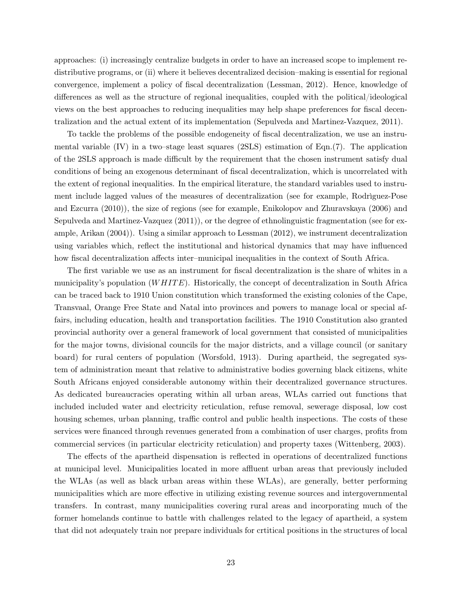approaches: (i) increasingly centralize budgets in order to have an increased scope to implement redistributive programs, or (ii) where it believes decentralized decision–making is essential for regional convergence, implement a policy of fiscal decentralization (Lessman, 2012). Hence, knowledge of differences as well as the structure of regional inequalities, coupled with the political/ideological views on the best approaches to reducing inequalities may help shape preferences for fiscal decentralization and the actual extent of its implementation (Sepulveda and Martinez-Vazquez, 2011).

To tackle the problems of the possible endogeneity of fiscal decentralization, we use an instrumental variable  $(V)$  in a two–stage least squares  $(2SLS)$  estimation of Eqn. $(7)$ . The application of the 2SLS approach is made difficult by the requirement that the chosen instrument satisfy dual conditions of being an exogenous determinant of fiscal decentralization, which is uncorrelated with the extent of regional inequalities. In the empirical literature, the standard variables used to instrument include lagged values of the measures of decentralization (see for example, Rodrìguez-Pose and Ezcurra (2010)), the size of regions (see for example, Enikolopov and Zhuravskaya (2006) and Sepulveda and Martinez-Vazquez (2011)), or the degree of ethnolinguistic fragmentation (see for example, Arikan (2004)). Using a similar approach to Lessman (2012), we instrument decentralization using variables which, reflect the institutional and historical dynamics that may have influenced how fiscal decentralization affects inter–municipal inequalities in the context of South Africa.

The first variable we use as an instrument for fiscal decentralization is the share of whites in a municipality's population  $(WHITE)$ . Historically, the concept of decentralization in South Africa can be traced back to 1910 Union constitution which transformed the existing colonies of the Cape, Transvaal, Orange Free State and Natal into provinces and powers to manage local or special affairs, including education, health and transportation facilities. The 1910 Constitution also granted provincial authority over a general framework of local government that consisted of municipalities for the major towns, divisional councils for the major districts, and a village council (or sanitary board) for rural centers of population (Worsfold, 1913). During apartheid, the segregated system of administration meant that relative to administrative bodies governing black citizens, white South Africans enjoyed considerable autonomy within their decentralized governance structures. As dedicated bureaucracies operating within all urban areas, WLAs carried out functions that included included water and electricity reticulation, refuse removal, sewerage disposal, low cost housing schemes, urban planning, traffic control and public health inspections. The costs of these services were financed through revenues generated from a combination of user charges, profits from commercial services (in particular electricity reticulation) and property taxes (Wittenberg, 2003).

The effects of the apartheid dispensation is reflected in operations of decentralized functions at municipal level. Municipalities located in more affluent urban areas that previously included the WLAs (as well as black urban areas within these WLAs), are generally, better performing municipalities which are more effective in utilizing existing revenue sources and intergovernmental transfers. In contrast, many municipalities covering rural areas and incorporating much of the former homelands continue to battle with challenges related to the legacy of apartheid, a system that did not adequately train nor prepare individuals for crtitical positions in the structures of local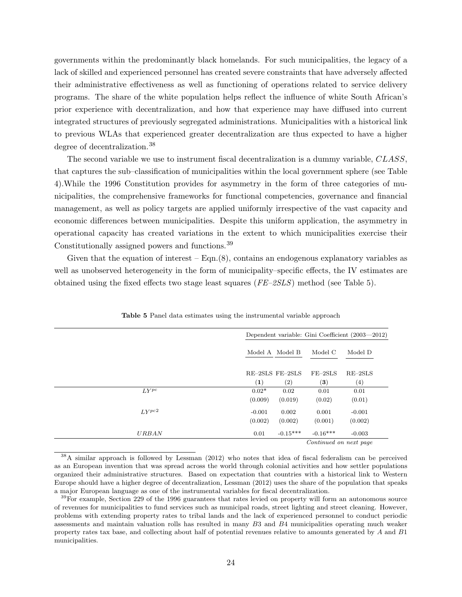governments within the predominantly black homelands. For such municipalities, the legacy of a lack of skilled and experienced personnel has created severe constraints that have adversely affected their administrative effectiveness as well as functioning of operations related to service delivery programs. The share of the white population helps reflect the influence of white South African's prior experience with decentralization, and how that experience may have diffused into current integrated structures of previously segregated administrations. Municipalities with a historical link to previous WLAs that experienced greater decentralization are thus expected to have a higher degree of decentralization.<sup>38</sup>

The second variable we use to instrument fiscal decentralization is a dummy variable, CLASS, that captures the sub–classification of municipalities within the local government sphere (see Table 4).While the 1996 Constitution provides for asymmetry in the form of three categories of municipalities, the comprehensive frameworks for functional competencies, governance and financial management, as well as policy targets are applied uniformly irrespective of the vast capacity and economic differences between municipalities. Despite this uniform application, the asymmetry in operational capacity has created variations in the extent to which municipalities exercise their Constitutionally assigned powers and functions.<sup>39</sup>

Given that the equation of interest  $-Eqn.(8)$ , contains an endogenous explanatory variables as well as unobserved heterogeneity in the form of municipality–specific effects, the IV estimates are obtained using the fixed effects two stage least squares  $(FE-2SLS)$  method (see Table 5).

|              | Dependent variable: Gini Coefficient (2003—2012) |
|--------------|--------------------------------------------------|
|              | Model A Model B<br>Model D<br>Model C            |
|              | RE-2SLS FE-2SLS<br>$FE-2SLS$<br>$RE-2SLS$        |
|              | (1)<br>(2)<br>$\bf (3)$<br>$\left( 4\right)$     |
| $LY^{pc}$    | $0.02*$<br>0.02<br>0.01<br>0.01                  |
|              | (0.009)<br>(0.01)<br>(0.019)<br>(0.02)           |
| $LY^{pc2}$   | $-0.001$<br>0.002<br>0.001<br>$-0.001$           |
|              | (0.002)<br>(0.002)<br>(0.002)<br>(0.001)         |
| <b>URBAN</b> | $-0.15***$<br>$-0.16***$<br>0.01<br>$-0.003$     |
|              | Continued on next page                           |

Table 5 Panel data estimates using the instrumental variable approach

<sup>38</sup>A similar approach is followed by Lessman (2012) who notes that idea of fiscal federalism can be perceived as an European invention that was spread across the world through colonial activities and how settler populations organized their administrative structures. Based on expectation that countries with a historical link to Western Europe should have a higher degree of decentralization, Lessman (2012) uses the share of the population that speaks a major European language as one of the instrumental variables for fiscal decentralization.

<sup>&</sup>lt;sup>39</sup>For example, Section 229 of the 1996 guarantees that rates levied on property will form an autonomous source of revenues for municipalities to fund services such as municipal roads, street lighting and street cleaning. However, problems with extending property rates to tribal lands and the lack of experienced personnel to conduct periodic assessments and maintain valuation rolls has resulted in many B3 and B4 municipalities operating much weaker property rates tax base, and collecting about half of potential revenues relative to amounts generated by A and B1 municipalities.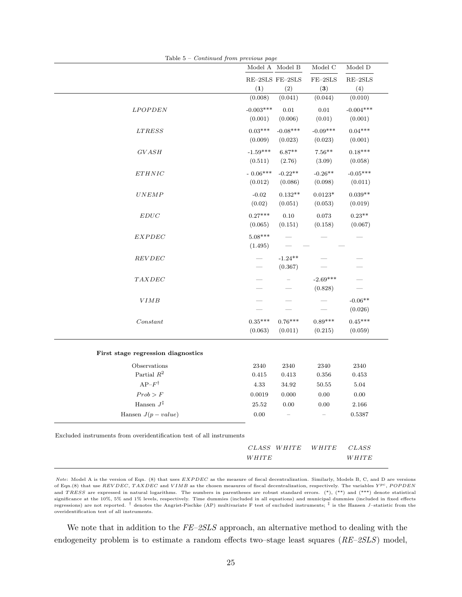|                                                                      | Model A Model B        |                       | Model C               | Model D                |
|----------------------------------------------------------------------|------------------------|-----------------------|-----------------------|------------------------|
|                                                                      | RE-2SLS FE-2SLS<br>(1) | (2)                   | $FE-2SLS$<br>(3)      | $RE-2SLS$<br>(4)       |
|                                                                      | (0.008)                | (0.041)               | (0.044)               | (0.010)                |
| <b>LPOPDEN</b>                                                       | $-0.003***$<br>(0.001) | 0.01<br>(0.006)       | $0.01\,$<br>(0.01)    | $-0.004***$<br>(0.001) |
| <b>LTRESS</b>                                                        | $0.03***$<br>(0.009)   | $-0.08***$<br>(0.023) | $-0.09***$<br>(0.023) | $0.04***$<br>(0.001)   |
| <b>GVASH</b>                                                         | $-1.59***$<br>(0.511)  | $6.87**$<br>(2.76)    | $7.56**$<br>(3.09)    | $0.18***$<br>(0.058)   |
| ETHNIC                                                               | $-0.06***$<br>(0.012)  | $-0.22**$<br>(0.086)  | $-0.26**$<br>(0.098)  | $-0.05***$<br>(0.011)  |
| UNEMP                                                                | $-0.02$<br>(0.02)      | $0.132**$<br>(0.051)  | $0.0123*$<br>(0.053)  | $0.039**$<br>(0.019)   |
| EDUC                                                                 | $0.27***$<br>(0.065)   | 0.10<br>(0.151)       | 0.073<br>(0.158)      | $0.23**$<br>(0.067)    |
| EXPDEC                                                               | $5.08***$<br>(1.495)   |                       |                       |                        |
| <b>REVDEC</b>                                                        |                        | $-1.24**$<br>(0.367)  |                       |                        |
| TAXDEC                                                               |                        |                       | $-2.69***$<br>(0.828) |                        |
| <b>VIMB</b>                                                          |                        |                       |                       | $-0.06**$<br>(0.026)   |
| Constant                                                             | $0.35***$<br>(0.063)   | $0.76***$<br>(0.011)  | $0.89***$<br>(0.215)  | $0.45***$<br>(0.059)   |
| First stage regression diagnostics                                   |                        |                       |                       |                        |
| Observations<br>Partial $R^2$                                        | 2340<br>0.415          | 2340<br>0.413         | 2340<br>0.356         | 2340<br>0.453          |
| $AP-F^{\dagger}$                                                     | 4.33                   | 34.92                 | 50.55                 | $5.04\,$               |
| $Prob>F$                                                             | 0.0019                 | 0.000                 | $0.00\,$              | $0.00\,$               |
| Hansen $J^{\ddagger}$                                                | 25.52                  | 0.00                  | 0.00                  | 2.166                  |
| Hansen $J(p-value)$                                                  | 0.00                   |                       |                       | 0.5387                 |
| Excluded instruments from overidentification test of all instruments |                        |                       |                       |                        |
|                                                                      |                        | CLASS WHITE           | WHITE                 | <b>CLASS</b>           |
|                                                                      | WHITE                  |                       |                       | WHITE                  |

Note: Model A is the version of Eqn. (8) that uses EXPDEC as the measure of fiscal decentralization. Similarly, Models B, C, and D are versions of Eqn.(8) that use REVDEC, TAXDEC and VIMB as the chosen measures of fiscal decentralization, respectively. The variables  $Y^{pc}$ , POPDEN and TRESS are expressed in natural logarithms. The numbers in parentheses are robust standard errors. (\*), (\*\*) and (\*\*\*) denote statistical significance at the 10%, 5% and 1% levels, respectively. Time dummies (included in all equations) and municipal dummies (included in fixed effects regressions) are not reported. <sup>†</sup> denotes the Angrist-Pischke (AP) multivariate F test of excluded instruments; <sup>‡</sup> is the Hansen J-statistic from the overidentification test of all instruments.

We note that in addition to the  $FE\text{-}2SLS$  approach, an alternative method to dealing with the endogeneity problem is to estimate a random effects two–stage least squares (RE–2SLS) model,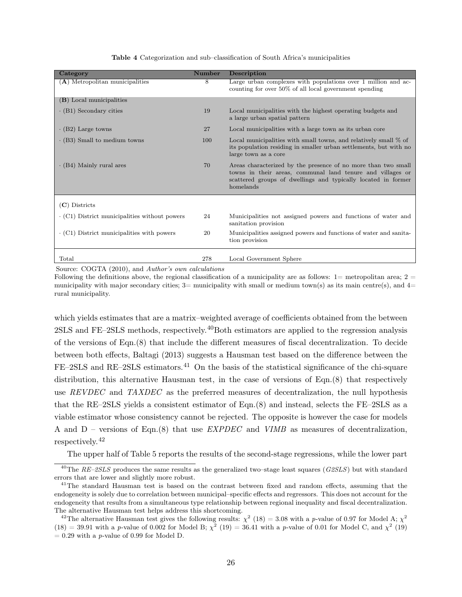| Table 4 Categorization and sub-classification of South Africa's municipalities |  |  |
|--------------------------------------------------------------------------------|--|--|
|--------------------------------------------------------------------------------|--|--|

| Category                                            | <b>Number</b> | <b>Description</b>                                                                                                                                                                                        |
|-----------------------------------------------------|---------------|-----------------------------------------------------------------------------------------------------------------------------------------------------------------------------------------------------------|
| (A) Metropolitan municipalities                     | 8             | Large urban complexes with populations over 1 million and ac-<br>counting for over 50% of all local government spending                                                                                   |
| (B) Local municipalities                            |               |                                                                                                                                                                                                           |
| $\cdot$ (B1) Secondary cities                       | 19            | Local municipalities with the highest operating budgets and<br>a large urban spatial pattern                                                                                                              |
| $\cdot$ (B2) Large towns                            | 27            | Local municipalities with a large town as its urban core                                                                                                                                                  |
| $\cdot$ (B3) Small to medium towns                  | 100           | Local municipalities with small towns, and relatively small $\%$ of<br>its population residing in smaller urban settlements, but with no<br>large town as a core                                          |
| $\cdot$ (B4) Mainly rural ares                      | 70            | Areas characterized by the presence of no more than two small<br>towns in their areas, communal land tenure and villages or<br>scattered groups of dwellings and typically located in former<br>homelands |
| $(C)$ Districts                                     |               |                                                                                                                                                                                                           |
| $\cdot$ (C1) District municipalities without powers | 24            | Municipalities not assigned powers and functions of water and<br>sanitation provision                                                                                                                     |
| $\cdot$ (C1) District municipalities with powers    | 20            | Municipalities assigned powers and functions of water and sanita-<br>tion provision                                                                                                                       |
| Total                                               | 278           | Local Government Sphere                                                                                                                                                                                   |

Source: COGTA (2010), and Author's own calculations

Following the definitions above, the regional classification of a municipality are as follows:  $1=$  metropolitan area;  $2=$ municipality with major secondary cities;  $3=$  municipality with small or medium town(s) as its main centre(s), and  $4=$ rural municipality.

which yields estimates that are a matrix–weighted average of coefficients obtained from the between 2SLS and FE–2SLS methods, respectively.<sup>40</sup>Both estimators are applied to the regression analysis of the versions of Eqn.(8) that include the different measures of fiscal decentralization. To decide between both effects, Baltagi (2013) suggests a Hausman test based on the difference between the FE–2SLS and RE–2SLS estimators.<sup>41</sup> On the basis of the statistical significance of the chi-square distribution, this alternative Hausman test, in the case of versions of Eqn.(8) that respectively use REVDEC and TAXDEC as the preferred measures of decentralization, the null hypothesis that the RE–2SLS yields a consistent estimator of Eqn.(8) and instead, selects the FE–2SLS as a viable estimator whose consistency cannot be rejected. The opposite is however the case for models A and D – versions of Eqn.(8) that use  $EXPDEC$  and  $VIMB$  as measures of decentralization, respectively.<sup>42</sup>

The upper half of Table 5 reports the results of the second-stage regressions, while the lower part

<sup>&</sup>lt;sup>40</sup>The RE–2SLS produces the same results as the generalized two–stage least squares (G2SLS) but with standard errors that are lower and slightly more robust.

<sup>&</sup>lt;sup>41</sup>The standard Hausman test is based on the contrast between fixed and random effects, assuming that the endogeneity is solely due to correlation between municipal–specific effects and regressors. This does not account for the endogeneity that results from a simultaneous type relationship between regional inequality and fiscal decentralization. The alternative Hausman test helps address this shortcoming.

<sup>&</sup>lt;sup>42</sup>The alternative Hausman test gives the following results:  $\chi^2$  (18) = 3.08 with a p-value of 0.97 for Model A;  $\chi^2$  $(18) = 39.91$  with a p-value of 0.002 for Model B;  $\chi^2$  (19) = 36.41 with a p-value of 0.01 for Model C, and  $\chi^2$  (19)  $= 0.29$  with a *p*-value of 0.99 for Model D.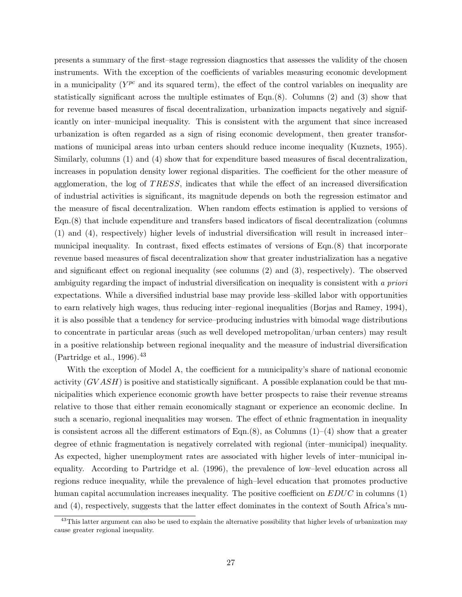presents a summary of the first–stage regression diagnostics that assesses the validity of the chosen instruments. With the exception of the coefficients of variables measuring economic development in a municipality  $(Y^{pc}$  and its squared term), the effect of the control variables on inequality are statistically significant across the multiple estimates of Eqn. $(8)$ . Columns  $(2)$  and  $(3)$  show that for revenue based measures of fiscal decentralization, urbanization impacts negatively and significantly on inter–municipal inequality. This is consistent with the argument that since increased urbanization is often regarded as a sign of rising economic development, then greater transformations of municipal areas into urban centers should reduce income inequality (Kuznets, 1955). Similarly, columns (1) and (4) show that for expenditure based measures of fiscal decentralization, increases in population density lower regional disparities. The coefficient for the other measure of agglomeration, the log of TRESS, indicates that while the effect of an increased diversification of industrial activities is significant, its magnitude depends on both the regression estimator and the measure of fiscal decentralization. When random effects estimation is applied to versions of Eqn.(8) that include expenditure and transfers based indicators of fiscal decentralization (columns (1) and (4), respectively) higher levels of industrial diversification will result in increased inter– municipal inequality. In contrast, fixed effects estimates of versions of Eqn.(8) that incorporate revenue based measures of fiscal decentralization show that greater industrialization has a negative and significant effect on regional inequality (see columns (2) and (3), respectively). The observed ambiguity regarding the impact of industrial diversification on inequality is consistent with a priori expectations. While a diversified industrial base may provide less–skilled labor with opportunities to earn relatively high wages, thus reducing inter–regional inequalities (Borjas and Ramey, 1994), it is also possible that a tendency for service–producing industries with bimodal wage distributions to concentrate in particular areas (such as well developed metropolitan/urban centers) may result in a positive relationship between regional inequality and the measure of industrial diversification (Partridge et al., 1996).  $43$ 

With the exception of Model A, the coefficient for a municipality's share of national economic activity  $(GVASH)$  is positive and statistically significant. A possible explanation could be that municipalities which experience economic growth have better prospects to raise their revenue streams relative to those that either remain economically stagnant or experience an economic decline. In such a scenario, regional inequalities may worsen. The effect of ethnic fragmentation in inequality is consistent across all the different estimators of Eqn. $(8)$ , as Columns  $(1)$ – $(4)$  show that a greater degree of ethnic fragmentation is negatively correlated with regional (inter–municipal) inequality. As expected, higher unemployment rates are associated with higher levels of inter–municipal inequality. According to Partridge et al. (1996), the prevalence of low–level education across all regions reduce inequality, while the prevalence of high–level education that promotes productive human capital accumulation increases inequality. The positive coefficient on  $EDUC$  in columns  $(1)$ and (4), respectively, suggests that the latter effect dominates in the context of South Africa's mu-

<sup>&</sup>lt;sup>43</sup>This latter argument can also be used to explain the alternative possibility that higher levels of urbanization may cause greater regional inequality.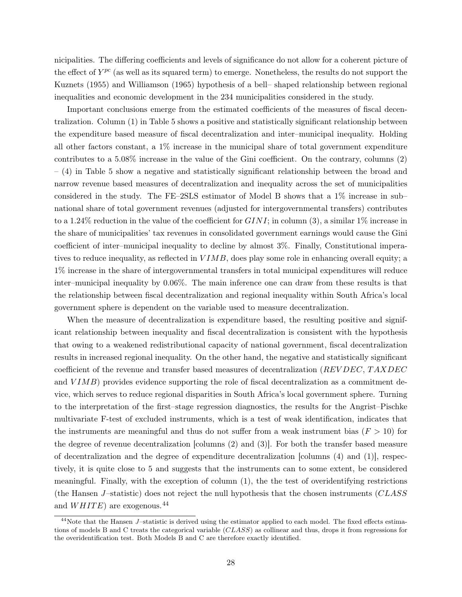nicipalities. The differing coefficients and levels of significance do not allow for a coherent picture of the effect of  $Y^{pc}$  (as well as its squared term) to emerge. Nonetheless, the results do not support the Kuznets (1955) and Williamson (1965) hypothesis of a bell– shaped relationship between regional inequalities and economic development in the 234 municipalities considered in the study.

Important conclusions emerge from the estimated coefficients of the measures of fiscal decentralization. Column (1) in Table 5 shows a positive and statistically significant relationship between the expenditure based measure of fiscal decentralization and inter–municipal inequality. Holding all other factors constant, a 1% increase in the municipal share of total government expenditure contributes to a 5.08% increase in the value of the Gini coefficient. On the contrary, columns (2) – (4) in Table 5 show a negative and statistically significant relationship between the broad and narrow revenue based measures of decentralization and inequality across the set of municipalities considered in the study. The FE–2SLS estimator of Model B shows that a 1% increase in sub– national share of total government revenues (adjusted for intergovernmental transfers) contributes to a 1.24% reduction in the value of the coefficient for  $GINI$ ; in column (3), a similar 1% increase in the share of municipalities' tax revenues in consolidated government earnings would cause the Gini coefficient of inter–municipal inequality to decline by almost 3%. Finally, Constitutional imperatives to reduce inequality, as reflected in  $VIMB$ , does play some role in enhancing overall equity; a 1% increase in the share of intergovernmental transfers in total municipal expenditures will reduce inter–municipal inequality by 0.06%. The main inference one can draw from these results is that the relationship between fiscal decentralization and regional inequality within South Africa's local government sphere is dependent on the variable used to measure decentralization.

When the measure of decentralization is expenditure based, the resulting positive and significant relationship between inequality and fiscal decentralization is consistent with the hypothesis that owing to a weakened redistributional capacity of national government, fiscal decentralization results in increased regional inequality. On the other hand, the negative and statistically significant coefficient of the revenue and transfer based measures of decentralization (REV DEC, TAXDEC) and  $VIMB$ ) provides evidence supporting the role of fiscal decentralization as a commitment device, which serves to reduce regional disparities in South Africa's local government sphere. Turning to the interpretation of the first–stage regression diagnostics, the results for the Angrist–Pischke multivariate F-test of excluded instruments, which is a test of weak identification, indicates that the instruments are meaningful and thus do not suffer from a weak instrument bias ( $F > 10$ ) for the degree of revenue decentralization [columns (2) and (3)]. For both the transfer based measure of decentralization and the degree of expenditure decentralization [columns  $(4)$  and  $(1)$ ], respectively, it is quite close to 5 and suggests that the instruments can to some extent, be considered meaningful. Finally, with the exception of column (1), the the test of overidentifying restrictions (the Hansen  $J$ -statistic) does not reject the null hypothesis that the chosen instruments ( $CLASS$ and  $WHITE$ ) are exogenous.<sup>44</sup>

 $44$ Note that the Hansen J-statistic is derived using the estimator applied to each model. The fixed effects estimations of models B and C treats the categorical variable (CLASS) as collinear and thus, drops it from regressions for the overidentification test. Both Models B and C are therefore exactly identified.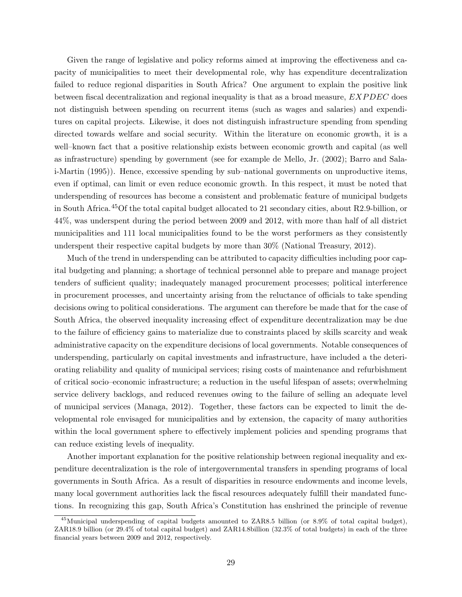Given the range of legislative and policy reforms aimed at improving the effectiveness and capacity of municipalities to meet their developmental role, why has expenditure decentralization failed to reduce regional disparities in South Africa? One argument to explain the positive link between fiscal decentralization and regional inequality is that as a broad measure,  $EXPDEC$  does not distinguish between spending on recurrent items (such as wages and salaries) and expenditures on capital projects. Likewise, it does not distinguish infrastructure spending from spending directed towards welfare and social security. Within the literature on economic growth, it is a well–known fact that a positive relationship exists between economic growth and capital (as well as infrastructure) spending by government (see for example de Mello, Jr. (2002); Barro and Salai-Martin (1995)). Hence, excessive spending by sub–national governments on unproductive items, even if optimal, can limit or even reduce economic growth. In this respect, it must be noted that underspending of resources has become a consistent and problematic feature of municipal budgets in South Africa.45Of the total capital budget allocated to 21 secondary cities, about R2.9-billion, or 44%, was underspent during the period between 2009 and 2012, with more than half of all district municipalities and 111 local municipalities found to be the worst performers as they consistently underspent their respective capital budgets by more than 30% (National Treasury, 2012).

Much of the trend in underspending can be attributed to capacity difficulties including poor capital budgeting and planning; a shortage of technical personnel able to prepare and manage project tenders of sufficient quality; inadequately managed procurement processes; political interference in procurement processes, and uncertainty arising from the reluctance of officials to take spending decisions owing to political considerations. The argument can therefore be made that for the case of South Africa, the observed inequality increasing effect of expenditure decentralization may be due to the failure of efficiency gains to materialize due to constraints placed by skills scarcity and weak administrative capacity on the expenditure decisions of local governments. Notable consequences of underspending, particularly on capital investments and infrastructure, have included a the deteriorating reliability and quality of municipal services; rising costs of maintenance and refurbishment of critical socio–economic infrastructure; a reduction in the useful lifespan of assets; overwhelming service delivery backlogs, and reduced revenues owing to the failure of selling an adequate level of municipal services (Managa, 2012). Together, these factors can be expected to limit the developmental role envisaged for municipalities and by extension, the capacity of many authorities within the local government sphere to effectively implement policies and spending programs that can reduce existing levels of inequality.

Another important explanation for the positive relationship between regional inequality and expenditure decentralization is the role of intergovernmental transfers in spending programs of local governments in South Africa. As a result of disparities in resource endowments and income levels, many local government authorities lack the fiscal resources adequately fulfill their mandated functions. In recognizing this gap, South Africa's Constitution has enshrined the principle of revenue

<sup>45</sup>Municipal underspending of capital budgets amounted to ZAR8.5 billion (or 8.9% of total capital budget), ZAR18.9 billion (or 29.4% of total capital budget) and ZAR14.8billion (32.3% of total budgets) in each of the three financial years between 2009 and 2012, respectively.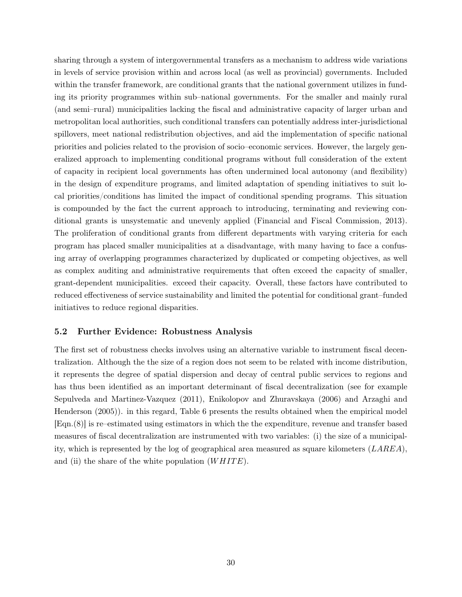sharing through a system of intergovernmental transfers as a mechanism to address wide variations in levels of service provision within and across local (as well as provincial) governments. Included within the transfer framework, are conditional grants that the national government utilizes in funding its priority programmes within sub–national governments. For the smaller and mainly rural (and semi–rural) municipalities lacking the fiscal and administrative capacity of larger urban and metropolitan local authorities, such conditional transfers can potentially address inter-jurisdictional spillovers, meet national redistribution objectives, and aid the implementation of specific national priorities and policies related to the provision of socio–economic services. However, the largely generalized approach to implementing conditional programs without full consideration of the extent of capacity in recipient local governments has often undermined local autonomy (and flexibility) in the design of expenditure programs, and limited adaptation of spending initiatives to suit local priorities/conditions has limited the impact of conditional spending programs. This situation is compounded by the fact the current approach to introducing, terminating and reviewing conditional grants is unsystematic and unevenly applied (Financial and Fiscal Commission, 2013). The proliferation of conditional grants from different departments with varying criteria for each program has placed smaller municipalities at a disadvantage, with many having to face a confusing array of overlapping programmes characterized by duplicated or competing objectives, as well as complex auditing and administrative requirements that often exceed the capacity of smaller, grant-dependent municipalities. exceed their capacity. Overall, these factors have contributed to reduced effectiveness of service sustainability and limited the potential for conditional grant–funded initiatives to reduce regional disparities.

#### 5.2 Further Evidence: Robustness Analysis

The first set of robustness checks involves using an alternative variable to instrument fiscal decentralization. Although the the size of a region does not seem to be related with income distribution, it represents the degree of spatial dispersion and decay of central public services to regions and has thus been identified as an important determinant of fiscal decentralization (see for example Sepulveda and Martinez-Vazquez (2011), Enikolopov and Zhuravskaya (2006) and Arzaghi and Henderson (2005)). in this regard, Table 6 presents the results obtained when the empirical model [Eqn.(8)] is re–estimated using estimators in which the the expenditure, revenue and transfer based measures of fiscal decentralization are instrumented with two variables: (i) the size of a municipality, which is represented by the log of geographical area measured as square kilometers  $(LAREA)$ , and (ii) the share of the white population  $(WHITE)$ .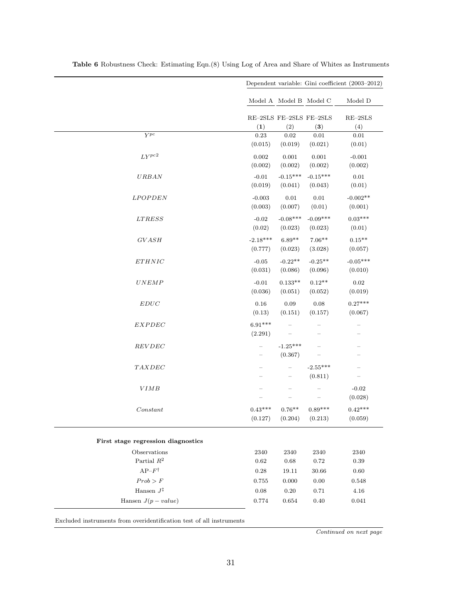|                                    | Dependent variable: Gini coefficient (2003-2012) |                                        |                       |                                                    |  |
|------------------------------------|--------------------------------------------------|----------------------------------------|-----------------------|----------------------------------------------------|--|
|                                    |                                                  | Model A Model B Model C                |                       | Model D                                            |  |
| $Y^{pc}$                           | RE-2SLS FE-2SLS FE-2SLS<br>(1)<br>0.23           | (2)<br>0.02                            | (3)<br>0.01           | $\mathrm{RE}\text{--}2\mathrm{SLS}$<br>(4)<br>0.01 |  |
|                                    | (0.015)                                          | (0.019)                                | (0.021)               | (0.01)                                             |  |
| $LY^{pc2}$                         | 0.002<br>(0.002)                                 | 0.001<br>(0.002)                       | 0.001<br>(0.002)      | $-0.001$<br>(0.002)                                |  |
| <b>URBAN</b>                       | $-0.01$<br>(0.019)                               | $-0.15***$<br>(0.041)                  | $-0.15***$<br>(0.043) | $0.01\,$<br>(0.01)                                 |  |
| <b>LPOPDEN</b>                     | $-0.003$<br>(0.003)                              | $0.01\,$<br>(0.007)                    | 0.01<br>(0.01)        | $-0.002**$<br>(0.001)                              |  |
| $LTRESS$                           | $-0.02$<br>(0.02)                                | $-0.08***$<br>(0.023)                  | $-0.09***$<br>(0.023) | $0.03***$<br>(0.01)                                |  |
| <b>GVASH</b>                       | $-2.18***$<br>(0.777)                            | $6.89**$<br>(0.023)                    | $7.06**$<br>(3.028)   | $0.15**$<br>(0.057)                                |  |
| ETHNIC                             | $-0.05$<br>(0.031)                               | $-0.22**$<br>(0.086)                   | $-0.25**$<br>(0.096)  | $-0.05***$<br>(0.010)                              |  |
| UNEMP                              | $-0.01$<br>(0.036)                               | $0.133**$<br>(0.051)                   | $0.12**$<br>(0.052)   | 0.02<br>(0.019)                                    |  |
| $EDUC$                             | 0.16<br>(0.13)                                   | 0.09<br>(0.151)                        | 0.08<br>(0.157)       | $0.27***$<br>(0.067)                               |  |
| <b>EXPDEC</b>                      | $6.91***$<br>(2.291)                             |                                        |                       |                                                    |  |
| <b>REVDEC</b>                      | $\overline{\phantom{0}}$<br>$\qquad \qquad -$    | $-1.25***$<br>(0.367)                  |                       | -                                                  |  |
| TAXDEC                             | ÷                                                | $\qquad \qquad -$<br>$\qquad \qquad -$ | $-2.55***$<br>(0.811) | $\equiv$<br>$\overline{\phantom{0}}$               |  |
| <b>VIMB</b>                        |                                                  |                                        |                       | $-0.02$<br>(0.028)                                 |  |
| Constant                           | $0.43***$<br>(0.127)                             | $0.76**$<br>(0.204)                    | $0.89***$<br>(0.213)  | $0.42***$<br>(0.059)                               |  |
| First stage regression diagnostics |                                                  |                                        |                       |                                                    |  |
| Observations                       | 2340                                             | 2340                                   | 2340                  | 2340                                               |  |
| Partial $\mathbb{R}^2$             | 0.62                                             | 0.68                                   | $0.72\,$              | 0.39                                               |  |
| $\mathsf{AP-}F^\dagger$            | $0.28\,$                                         | 19.11                                  | 30.66                 | 0.60                                               |  |
| Prob > F<br>Hansen $J^{\ddagger}$  | $0.755\,$<br>0.08                                | 0.000<br>0.20                          | $0.00\,$<br>$0.71\,$  | 0.548<br>4.16                                      |  |
| Hansen $J(p-value)$                | 0.774                                            | 0.654                                  | $0.40\,$              | 0.041                                              |  |

Table 6 Robustness Check: Estimating Eqn.(8) Using Log of Area and Share of Whites as Instruments

Excluded instruments from overidentification test of all instruments

Continued on next page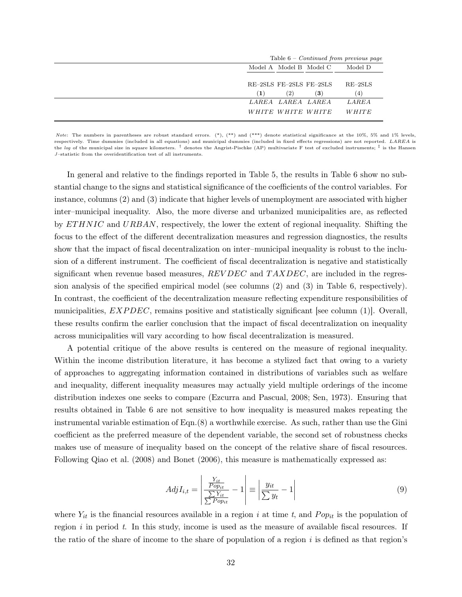|                                    |                   |                          | Table $6$ – <i>Continued from previous page</i> |  |
|------------------------------------|-------------------|--------------------------|-------------------------------------------------|--|
| Model A Model B Model C<br>Model D |                   |                          |                                                 |  |
|                                    |                   | RE-2SLS FE-2SLS FE-2SLS  | $RE-2SLS$                                       |  |
| (1)                                | $\left( 2\right)$ | $\left( 3\right)$        | (4)                                             |  |
|                                    | LAREA LAREA LAREA |                          | <b>LAREA</b>                                    |  |
|                                    |                   | <i>WHITE WHITE WHITE</i> | WHITE                                           |  |

Note: The numbers in parentheses are robust standard errors. (\*), (\*\*) and (\*\*\*) denote statistical significance at the 10%, 5% and 1% levels, respectively. Time dummies (included in all equations) and municipal dummies (included in fixed effects regressions) are not reported. LAREA is the log of the municipal size in square kilometers. <sup>†</sup> denotes the Angrist-Pischke (AP) multivariate F test of excluded instruments; <sup>‡</sup> is the Hansen J–statistic from the overidentification test of all instruments.

In general and relative to the findings reported in Table 5, the results in Table 6 show no substantial change to the signs and statistical significance of the coefficients of the control variables. For instance, columns (2) and (3) indicate that higher levels of unemployment are associated with higher inter–municipal inequality. Also, the more diverse and urbanized municipalities are, as reflected by ET HNIC and URBAN, respectively, the lower the extent of regional inequality. Shifting the focus to the effect of the different decentralization measures and regression diagnostics, the results show that the impact of fiscal decentralization on inter–municipal inequality is robust to the inclusion of a different instrument. The coefficient of fiscal decentralization is negative and statistically significant when revenue based measures,  $REVDEC$  and  $TAXDEC$ , are included in the regression analysis of the specified empirical model (see columns (2) and (3) in Table 6, respectively). In contrast, the coefficient of the decentralization measure reflecting expenditure responsibilities of municipalities,  $EXPDEC$ , remains positive and statistically significant [see column (1)]. Overall, these results confirm the earlier conclusion that the impact of fiscal decentralization on inequality across municipalities will vary according to how fiscal decentralization is measured.

A potential critique of the above results is centered on the measure of regional inequality. Within the income distribution literature, it has become a stylized fact that owing to a variety of approaches to aggregating information contained in distributions of variables such as welfare and inequality, different inequality measures may actually yield multiple orderings of the income distribution indexes one seeks to compare (Ezcurra and Pascual, 2008; Sen, 1973). Ensuring that results obtained in Table 6 are not sensitive to how inequality is measured makes repeating the instrumental variable estimation of Eqn.(8) a worthwhile exercise. As such, rather than use the Gini coefficient as the preferred measure of the dependent variable, the second set of robustness checks makes use of measure of inequality based on the concept of the relative share of fiscal resources. Following Qiao et al. (2008) and Bonet (2006), this measure is mathematically expressed as:

$$
AdjI_{i,t} = \left| \frac{\frac{Y_{it}}{Pop_{it}}}{\frac{\sum Y_{it}}{\sum Pop_{it}}} - 1 \right| \equiv \left| \frac{y_{it}}{\sum y_t} - 1 \right| \tag{9}
$$

where  $Y_{it}$  is the financial resources available in a region i at time t, and  $Pop_{it}$  is the population of region  $i$  in period  $t$ . In this study, income is used as the measure of available fiscal resources. If the ratio of the share of income to the share of population of a region  $i$  is defined as that region's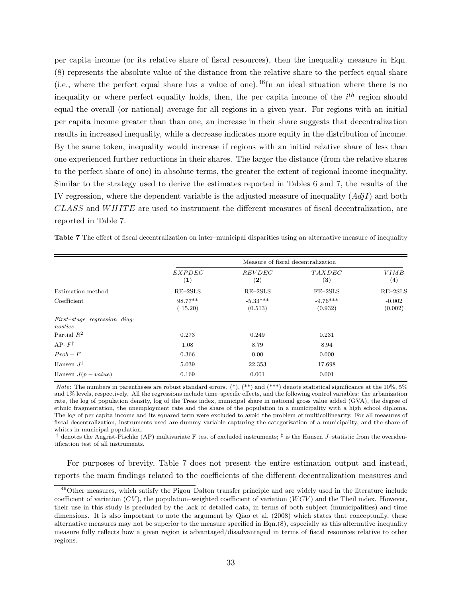per capita income (or its relative share of fiscal resources), then the inequality measure in Eqn. (8) represents the absolute value of the distance from the relative share to the perfect equal share (i.e., where the perfect equal share has a value of one).<sup>46</sup>In an ideal situation where there is no inequality or where perfect equality holds, then, the per capita income of the  $i^{th}$  region should equal the overall (or national) average for all regions in a given year. For regions with an initial per capita income greater than than one, an increase in their share suggests that decentralization results in increased inequality, while a decrease indicates more equity in the distribution of income. By the same token, inequality would increase if regions with an initial relative share of less than one experienced further reductions in their shares. The larger the distance (from the relative shares to the perfect share of one) in absolute terms, the greater the extent of regional income inequality. Similar to the strategy used to derive the estimates reported in Tables 6 and 7, the results of the IV regression, where the dependent variable is the adjusted measure of inequality  $(Ad<sub>i</sub>I)$  and both  $CLASS$  and  $WHITE$  are used to instrument the different measures of fiscal decentralization, are reported in Table 7.

|                                         | Measure of fiscal decentralization |                       |                            |                     |  |  |  |
|-----------------------------------------|------------------------------------|-----------------------|----------------------------|---------------------|--|--|--|
|                                         | EXPDEC<br>$\bf(1)$                 | <b>REVDEC</b><br>(2)  | <i>TAXDEC</i><br>$\bf (3)$ | <i>VIMB</i><br>(4)  |  |  |  |
| Estimation method                       | $RE-2SLS$                          | $RE-2SLS$             | $FE-2SLS$                  | $RE-2SLS$           |  |  |  |
| Coefficient                             | 98.77**<br>(15.20)                 | $-5.33***$<br>(0.513) | $-9.76***$<br>(0.932)      | $-0.002$<br>(0.002) |  |  |  |
| First-stage regression diag-<br>nostics |                                    |                       |                            |                     |  |  |  |
| Partial $R^2$                           | 0.273                              | 0.249                 | 0.231                      |                     |  |  |  |
| $AP-F^{\dagger}$                        | 1.08                               | 8.79                  | 8.94                       |                     |  |  |  |
| $Prob-F$                                | 0.366                              | 0.00                  | 0.000                      |                     |  |  |  |
| Hansen $J^{\ddagger}$                   | 5.039                              | 22.353                | 17.698                     |                     |  |  |  |
| Hansen $J(p-value)$                     | 0.169                              | 0.001                 | 0.001                      |                     |  |  |  |

Table 7 The effect of fiscal decentralization on inter–municipal disparities using an alternative measure of inequality

Note: The numbers in parentheses are robust standard errors. (\*), (\*\*) and (\*\*\*) denote statistical significance at the  $10\%$ ,  $5\%$ and 1% levels, respectively. All the regressions include time–specific effects, and the following control variables: the urbanization rate, the log of population density, log of the Tress index, municipal share in national gross value added (GVA), the degree of ethnic fragmentation, the unemployment rate and the share of the population in a municipality with a high school diploma. The log of per capita income and its squared term were excluded to avoid the problem of multicollinearity. For all measures of fiscal decentralization, instruments used are dummy variable capturing the categorization of a municipality, and the share of whites in municipal population.

<sup>†</sup> denotes the Angrist-Pischke (AP) multivariate F test of excluded instruments;  $\frac{1}{i}$  is the Hansen J-statistic from the overidentification test of all instruments.

For purposes of brevity, Table 7 does not present the entire estimation output and instead, reports the main findings related to the coefficients of the different decentralization measures and

<sup>&</sup>lt;sup>46</sup>Other measures, which satisfy the Pigou–Dalton transfer principle and are widely used in the literature include coefficient of variation  $(CV)$ , the population–weighted coefficient of variation  $(WCV)$  and the Theil index. However, their use in this study is precluded by the lack of detailed data, in terms of both subject (municipalities) and time dimensions. It is also important to note the argument by Qiao et al. (2008) which states that conceptually, these alternative measures may not be superior to the measure specified in Eqn.(8), especially as this alternative inequality measure fully reflects how a given region is advantaged/disadvantaged in terms of fiscal resources relative to other regions.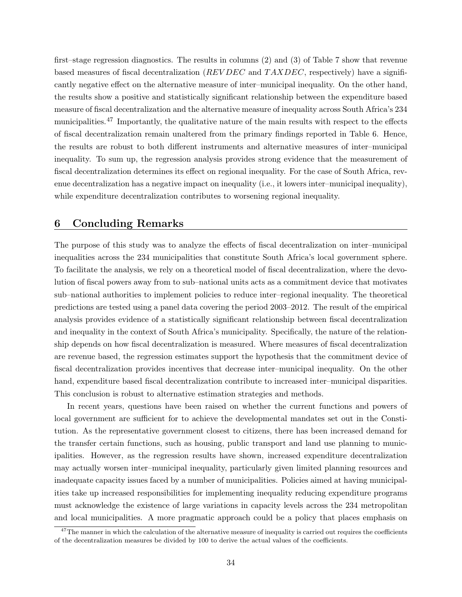first–stage regression diagnostics. The results in columns (2) and (3) of Table 7 show that revenue based measures of fiscal decentralization ( $REVDEC$  and  $TAXDEC$ , respectively) have a significantly negative effect on the alternative measure of inter–municipal inequality. On the other hand, the results show a positive and statistically significant relationship between the expenditure based measure of fiscal decentralization and the alternative measure of inequality across South Africa's 234 municipalities.<sup>47</sup> Importantly, the qualitative nature of the main results with respect to the effects of fiscal decentralization remain unaltered from the primary findings reported in Table 6. Hence, the results are robust to both different instruments and alternative measures of inter–municipal inequality. To sum up, the regression analysis provides strong evidence that the measurement of fiscal decentralization determines its effect on regional inequality. For the case of South Africa, revenue decentralization has a negative impact on inequality (i.e., it lowers inter–municipal inequality), while expenditure decentralization contributes to worsening regional inequality.

#### 6 Concluding Remarks

The purpose of this study was to analyze the effects of fiscal decentralization on inter–municipal inequalities across the 234 municipalities that constitute South Africa's local government sphere. To facilitate the analysis, we rely on a theoretical model of fiscal decentralization, where the devolution of fiscal powers away from to sub–national units acts as a commitment device that motivates sub–national authorities to implement policies to reduce inter–regional inequality. The theoretical predictions are tested using a panel data covering the period 2003–2012. The result of the empirical analysis provides evidence of a statistically significant relationship between fiscal decentralization and inequality in the context of South Africa's municipality. Specifically, the nature of the relationship depends on how fiscal decentralization is measured. Where measures of fiscal decentralization are revenue based, the regression estimates support the hypothesis that the commitment device of fiscal decentralization provides incentives that decrease inter–municipal inequality. On the other hand, expenditure based fiscal decentralization contribute to increased inter–municipal disparities. This conclusion is robust to alternative estimation strategies and methods.

In recent years, questions have been raised on whether the current functions and powers of local government are sufficient for to achieve the developmental mandates set out in the Constitution. As the representative government closest to citizens, there has been increased demand for the transfer certain functions, such as housing, public transport and land use planning to municipalities. However, as the regression results have shown, increased expenditure decentralization may actually worsen inter–municipal inequality, particularly given limited planning resources and inadequate capacity issues faced by a number of municipalities. Policies aimed at having municipalities take up increased responsibilities for implementing inequality reducing expenditure programs must acknowledge the existence of large variations in capacity levels across the 234 metropolitan and local municipalities. A more pragmatic approach could be a policy that places emphasis on

 $47$ The manner in which the calculation of the alternative measure of inequality is carried out requires the coefficients of the decentralization measures be divided by 100 to derive the actual values of the coefficients.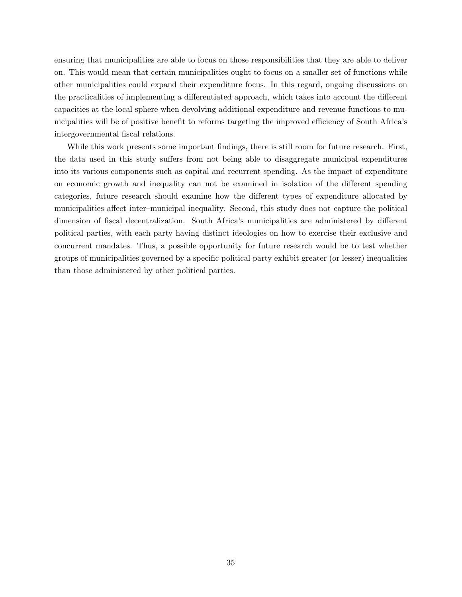ensuring that municipalities are able to focus on those responsibilities that they are able to deliver on. This would mean that certain municipalities ought to focus on a smaller set of functions while other municipalities could expand their expenditure focus. In this regard, ongoing discussions on the practicalities of implementing a differentiated approach, which takes into account the different capacities at the local sphere when devolving additional expenditure and revenue functions to municipalities will be of positive benefit to reforms targeting the improved efficiency of South Africa's intergovernmental fiscal relations.

While this work presents some important findings, there is still room for future research. First, the data used in this study suffers from not being able to disaggregate municipal expenditures into its various components such as capital and recurrent spending. As the impact of expenditure on economic growth and inequality can not be examined in isolation of the different spending categories, future research should examine how the different types of expenditure allocated by municipalities affect inter–municipal inequality. Second, this study does not capture the political dimension of fiscal decentralization. South Africa's municipalities are administered by different political parties, with each party having distinct ideologies on how to exercise their exclusive and concurrent mandates. Thus, a possible opportunity for future research would be to test whether groups of municipalities governed by a specific political party exhibit greater (or lesser) inequalities than those administered by other political parties.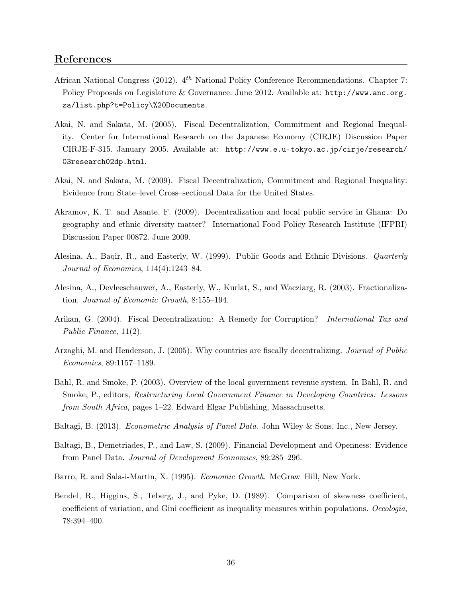#### References

- African National Congress (2012).  $4^{th}$  National Policy Conference Recommendations. Chapter 7: Policy Proposals on Legislature & Governance. June 2012. Available at: http://www.anc.org. za/list.php?t=Policy\%20Documents.
- Akai, N. and Sakata, M. (2005). Fiscal Decentralization, Commitment and Regional Inequality. Center for International Research on the Japanese Economy (CIRJE) Discussion Paper CIRJE-F-315. January 2005. Available at: http://www.e.u-tokyo.ac.jp/cirje/research/ 03research02dp.html.
- Akai, N. and Sakata, M. (2009). Fiscal Decentralization, Commitment and Regional Inequality: Evidence from State–level Cross–sectional Data for the United States.
- Akramov, K. T. and Asante, F. (2009). Decentralization and local public service in Ghana: Do geography and ethnic diversity matter? International Food Policy Research Institute (IFPRI) Discussion Paper 00872. June 2009.
- Alesina, A., Baqir, R., and Easterly, W. (1999). Public Goods and Ethnic Divisions. Quarterly Journal of Economics, 114(4):1243–84.
- Alesina, A., Devleeschauwer, A., Easterly, W., Kurlat, S., and Wacziarg, R. (2003). Fractionalization. Journal of Economic Growth, 8:155–194.
- Arikan, G. (2004). Fiscal Decentralization: A Remedy for Corruption? International Tax and Public Finance, 11(2).
- Arzaghi, M. and Henderson, J. (2005). Why countries are fiscally decentralizing. Journal of Public Economics, 89:1157–1189.
- Bahl, R. and Smoke, P. (2003). Overview of the local government revenue system. In Bahl, R. and Smoke, P., editors, Restructuring Local Government Finance in Developing Countries: Lessons from South Africa, pages 1–22. Edward Elgar Publishing, Massachusetts.
- Baltagi, B. (2013). Econometric Analysis of Panel Data. John Wiley & Sons, Inc., New Jersey.
- Baltagi, B., Demetriades, P., and Law, S. (2009). Financial Development and Openness: Evidence from Panel Data. Journal of Development Economics, 89:285–296.
- Barro, R. and Sala-i-Martin, X. (1995). Economic Growth. McGraw–Hill, New York.
- Bendel, R., Higgins, S., Teberg, J., and Pyke, D. (1989). Comparison of skewness coefficient, coefficient of variation, and Gini coefficient as inequality measures within populations. Oecologia, 78:394–400.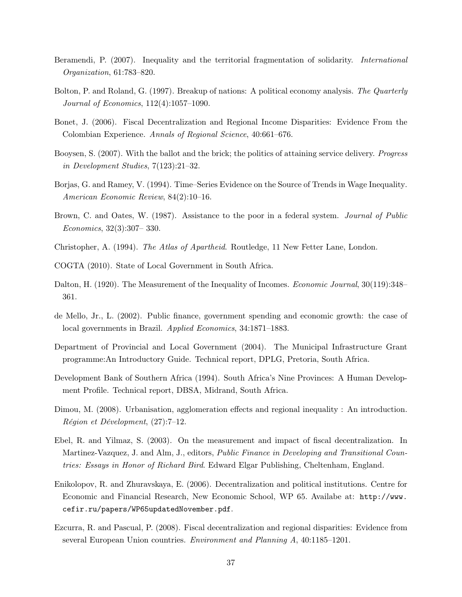- Beramendi, P. (2007). Inequality and the territorial fragmentation of solidarity. International Organization, 61:783–820.
- Bolton, P. and Roland, G. (1997). Breakup of nations: A political economy analysis. The Quarterly Journal of Economics, 112(4):1057–1090.
- Bonet, J. (2006). Fiscal Decentralization and Regional Income Disparities: Evidence From the Colombian Experience. Annals of Regional Science, 40:661–676.
- Booysen, S. (2007). With the ballot and the brick; the politics of attaining service delivery. Progress in Development Studies, 7(123):21–32.
- Borjas, G. and Ramey, V. (1994). Time–Series Evidence on the Source of Trends in Wage Inequality. American Economic Review, 84(2):10–16.
- Brown, C. and Oates, W. (1987). Assistance to the poor in a federal system. Journal of Public Economics, 32(3):307– 330.
- Christopher, A. (1994). The Atlas of Apartheid. Routledge, 11 New Fetter Lane, London.
- COGTA (2010). State of Local Government in South Africa.
- Dalton, H. (1920). The Measurement of the Inequality of Incomes. *Economic Journal*, 30(119):348– 361.
- de Mello, Jr., L. (2002). Public finance, government spending and economic growth: the case of local governments in Brazil. Applied Economics, 34:1871–1883.
- Department of Provincial and Local Government (2004). The Municipal Infrastructure Grant programme:An Introductory Guide. Technical report, DPLG, Pretoria, South Africa.
- Development Bank of Southern Africa (1994). South Africa's Nine Provinces: A Human Development Profile. Technical report, DBSA, Midrand, South Africa.
- Dimou, M. (2008). Urbanisation, agglomeration effects and regional inequality : An introduction. Région et Dévelopment, (27):7–12.
- Ebel, R. and Yilmaz, S. (2003). On the measurement and impact of fiscal decentralization. In Martinez-Vazquez, J. and Alm, J., editors, Public Finance in Developing and Transitional Countries: Essays in Honor of Richard Bird. Edward Elgar Publishing, Cheltenham, England.
- Enikolopov, R. and Zhuravskaya, E. (2006). Decentralization and political institutions. Centre for Economic and Financial Research, New Economic School, WP 65. Availabe at: http://www. cefir.ru/papers/WP65updatedNovember.pdf.
- Ezcurra, R. and Pascual, P. (2008). Fiscal decentralization and regional disparities: Evidence from several European Union countries. Environment and Planning A, 40:1185–1201.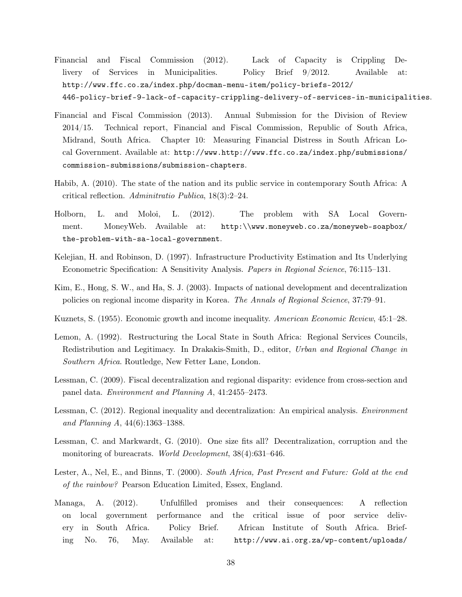- Financial and Fiscal Commission (2012). Lack of Capacity is Crippling Delivery of Services in Municipalities. Policy Brief 9/2012. Available at: http://www.ffc.co.za/index.php/docman-menu-item/policy-briefs-2012/ 446-policy-brief-9-lack-of-capacity-crippling-delivery-of-services-in-municipalities.
- Financial and Fiscal Commission (2013). Annual Submission for the Division of Review 2014/15. Technical report, Financial and Fiscal Commission, Republic of South Africa, Midrand, South Africa. Chapter 10: Measuring Financial Distress in South African Local Government. Available at: http://www.http://www.ffc.co.za/index.php/submissions/ commission-submissions/submission-chapters.
- Habib, A. (2010). The state of the nation and its public service in contemporary South Africa: A critical reflection. Adminitratio Publica, 18(3):2–24.
- Holborn, L. and Moloi, L. (2012). The problem with SA Local Government. MoneyWeb. Available at: http:\\www.moneyweb.co.za/moneyweb-soapbox/ the-problem-with-sa-local-government.
- Kelejian, H. and Robinson, D. (1997). Infrastructure Productivity Estimation and Its Underlying Econometric Specification: A Sensitivity Analysis. Papers in Regional Science, 76:115–131.
- Kim, E., Hong, S. W., and Ha, S. J. (2003). Impacts of national development and decentralization policies on regional income disparity in Korea. The Annals of Regional Science, 37:79–91.
- Kuznets, S. (1955). Economic growth and income inequality. American Economic Review, 45:1–28.
- Lemon, A. (1992). Restructuring the Local State in South Africa: Regional Services Councils, Redistribution and Legitimacy. In Drakakis-Smith, D., editor, Urban and Regional Change in Southern Africa. Routledge, New Fetter Lane, London.
- Lessman, C. (2009). Fiscal decentralization and regional disparity: evidence from cross-section and panel data. Environment and Planning A, 41:2455–2473.
- Lessman, C. (2012). Regional inequality and decentralization: An empirical analysis. Environment and Planning A, 44(6):1363–1388.
- Lessman, C. and Markwardt, G. (2010). One size fits all? Decentralization, corruption and the monitoring of bureacrats. World Development, 38(4):631–646.
- Lester, A., Nel, E., and Binns, T. (2000). South Africa, Past Present and Future: Gold at the end of the rainbow? Pearson Education Limited, Essex, England.
- Managa, A. (2012). Unfulfilled promises and their consequences: A reflection on local government performance and the critical issue of poor service delivery in South Africa. Policy Brief. African Institute of South Africa. Briefing No. 76, May. Available at: http://www.ai.org.za/wp-content/uploads/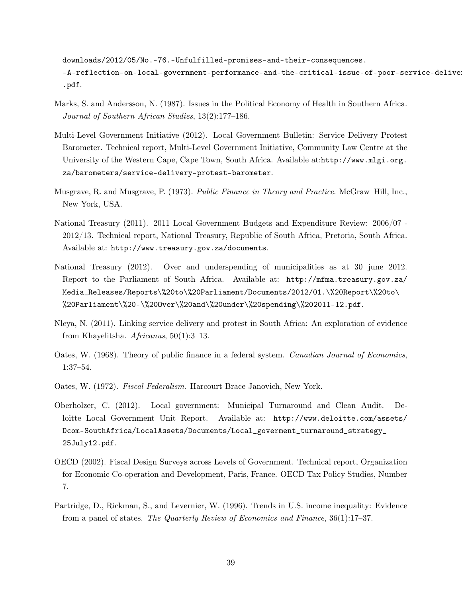downloads/2012/05/No.-76.-Unfulfilled-promises-and-their-consequences. -A-reflection-on-local-government-performance-and-the-critical-issue-of-poor-service-deliver .pdf.

- Marks, S. and Andersson, N. (1987). Issues in the Political Economy of Health in Southern Africa. Journal of Southern African Studies, 13(2):177–186.
- Multi-Level Government Initiative (2012). Local Government Bulletin: Service Delivery Protest Barometer. Technical report, Multi-Level Government Initiative, Community Law Centre at the University of the Western Cape, Cape Town, South Africa. Available at:http://www.mlgi.org. za/barometers/service-delivery-protest-barometer.
- Musgrave, R. and Musgrave, P. (1973). Public Finance in Theory and Practice. McGraw–Hill, Inc., New York, USA.
- National Treasury (2011). 2011 Local Government Budgets and Expenditure Review: 2006/07 2012/13. Technical report, National Treasury, Republic of South Africa, Pretoria, South Africa. Available at: http://www.treasury.gov.za/documents.
- National Treasury (2012). Over and underspending of municipalities as at 30 june 2012. Report to the Parliament of South Africa. Available at: http://mfma.treasury.gov.za/ Media\_Releases/Reports\%20to\%20Parliament/Documents/2012/01.\%20Report\%20to\ %20Parliament\%20-\%200ver\%20and\%20under\%20spending\%202011-12.pdf.
- Nleya, N. (2011). Linking service delivery and protest in South Africa: An exploration of evidence from Khayelitsha. Africanus, 50(1):3–13.
- Oates, W. (1968). Theory of public finance in a federal system. Canadian Journal of Economics, 1:37–54.
- Oates, W. (1972). Fiscal Federalism. Harcourt Brace Janovich, New York.
- Oberholzer, C. (2012). Local government: Municipal Turnaround and Clean Audit. Deloitte Local Government Unit Report. Available at: http://www.deloitte.com/assets/ Dcom-SouthAfrica/LocalAssets/Documents/Local\_goverment\_turnaround\_strategy\_ 25July12.pdf.
- OECD (2002). Fiscal Design Surveys across Levels of Government. Technical report, Organization for Economic Co-operation and Development, Paris, France. OECD Tax Policy Studies, Number 7.
- Partridge, D., Rickman, S., and Levernier, W. (1996). Trends in U.S. income inequality: Evidence from a panel of states. The Quarterly Review of Economics and Finance, 36(1):17–37.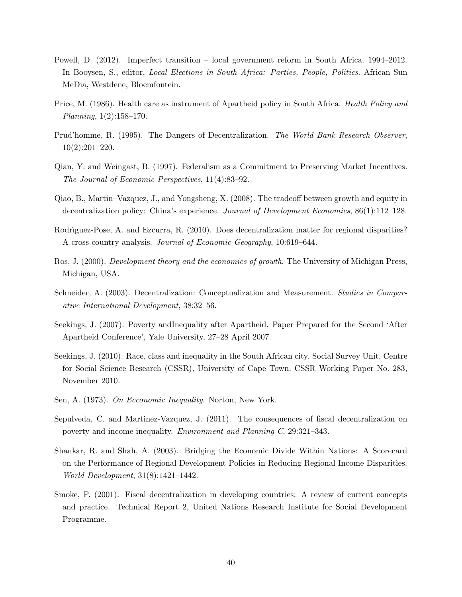- Powell, D. (2012). Imperfect transition local government reform in South Africa. 1994–2012. In Booysen, S., editor, Local Elections in South Africa: Parties, People, Politics. African Sun MeDia, Westdene, Bloemfontein.
- Price, M. (1986). Health care as instrument of Apartheid policy in South Africa. Health Policy and Planning, 1(2):158–170.
- Prud'homme, R. (1995). The Dangers of Decentralization. The World Bank Research Observer, 10(2):201–220.
- Qian, Y. and Weingast, B. (1997). Federalism as a Commitment to Preserving Market Incentives. The Journal of Economic Perspectives, 11(4):83–92.
- Qiao, B., Martin–Vazquez, J., and Yongsheng, X. (2008). The tradeoff between growth and equity in decentralization policy: China's experience. Journal of Development Economics, 86(1):112–128.
- Rodrìguez-Pose, A. and Ezcurra, R. (2010). Does decentralization matter for regional disparities? A cross-country analysis. Journal of Economic Geography, 10:619–644.
- Ros, J. (2000). Development theory and the economics of growth. The University of Michigan Press, Michigan, USA.
- Schneider, A. (2003). Decentralization: Conceptualization and Measurement. Studies in Comparative International Development, 38:32–56.
- Seekings, J. (2007). Poverty andInequality after Apartheid. Paper Prepared for the Second 'After Apartheid Conference', Yale University, 27–28 April 2007.
- Seekings, J. (2010). Race, class and inequality in the South African city. Social Survey Unit, Centre for Social Science Research (CSSR), University of Cape Town. CSSR Working Paper No. 283, November 2010.
- Sen, A. (1973). On Ecconomic Inequality. Norton, New York.
- Sepulveda, C. and Martinez-Vazquez, J. (2011). The consequences of fiscal decentralization on poverty and income inequality. Environment and Planning C, 29:321–343.
- Shankar, R. and Shah, A. (2003). Bridging the Economic Divide Within Nations: A Scorecard on the Performance of Regional Development Policies in Reducing Regional Income Disparities. World Development, 31(8):1421–1442.
- Smoke, P. (2001). Fiscal decentralization in developing countries: A review of current concepts and practice. Technical Report 2, United Nations Research Institute for Social Development Programme.